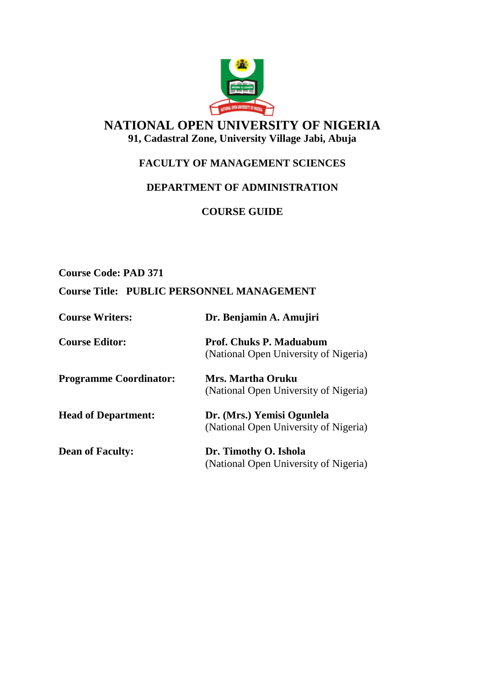

# **NATIONAL OPEN UNIVERSITY OF NIGERIA 91, Cadastral Zone, University Village Jabi, Abuja**

# **FACULTY OF MANAGEMENT SCIENCES**

# **DEPARTMENT OF ADMINISTRATION**

**COURSE GUIDE**

**Course Code: PAD 371**

## **Course Title: PUBLIC PERSONNEL MANAGEMENT**

| <b>Course Writers:</b>        | Dr. Benjamin A. Amujiri                                                 |
|-------------------------------|-------------------------------------------------------------------------|
| <b>Course Editor:</b>         | <b>Prof. Chuks P. Maduabum</b><br>(National Open University of Nigeria) |
| <b>Programme Coordinator:</b> | Mrs. Martha Oruku<br>(National Open University of Nigeria)              |
| <b>Head of Department:</b>    | Dr. (Mrs.) Yemisi Ogunlela<br>(National Open University of Nigeria)     |
| <b>Dean of Faculty:</b>       | Dr. Timothy O. Ishola<br>(National Open University of Nigeria)          |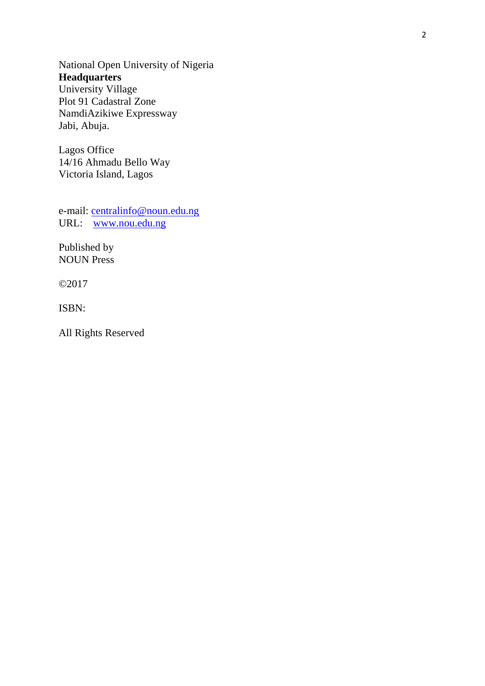National Open University of Nigeria **Headquarters** University Village Plot 91 Cadastral Zone NamdiAzikiwe Expressway Jabi, Abuja.

Lagos Office 14/16 Ahmadu Bello Way Victoria Island, Lagos

e-mail: [centralinfo@noun.edu.ng](mailto:centralinfo@noun.edu.ng) URL: [www.nou.edu.ng](http://www.nou.edu.ng/)

Published by NOUN Press

©2017

ISBN:

All Rights Reserved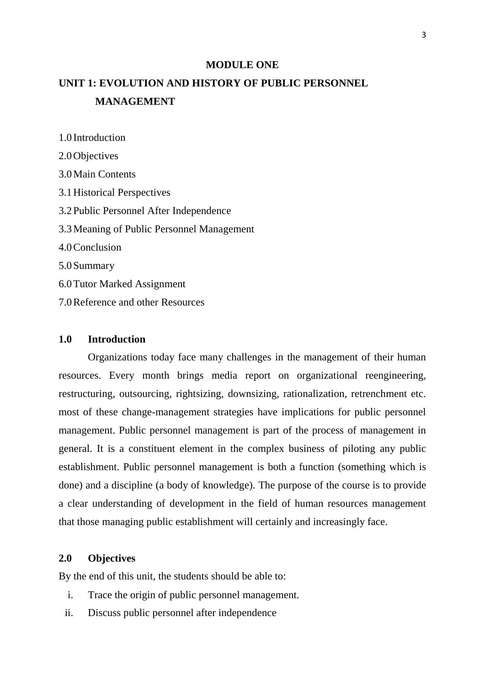#### **MODULE ONE**

# **UNIT 1: EVOLUTION AND HISTORY OF PUBLIC PERSONNEL MANAGEMENT**

2.0Objectives 3.0Main Contents 3.1Historical Perspectives 3.2Public Personnel After Independence 3.3Meaning of Public Personnel Management 4.0Conclusion 5.0Summary 6.0Tutor Marked Assignment 7.0Reference and other Resources

#### **1.0 Introduction**

1.0 Introduction

Organizations today face many challenges in the management of their human resources. Every month brings media report on organizational reengineering, restructuring, outsourcing, rightsizing, downsizing, rationalization, retrenchment etc. most of these change-management strategies have implications for public personnel management. Public personnel management is part of the process of management in general. It is a constituent element in the complex business of piloting any public establishment. Public personnel management is both a function (something which is done) and a discipline (a body of knowledge). The purpose of the course is to provide a clear understanding of development in the field of human resources management that those managing public establishment will certainly and increasingly face.

### **2.0 Objectives**

By the end of this unit, the students should be able to:

- i. Trace the origin of public personnel management.
- ii. Discuss public personnel after independence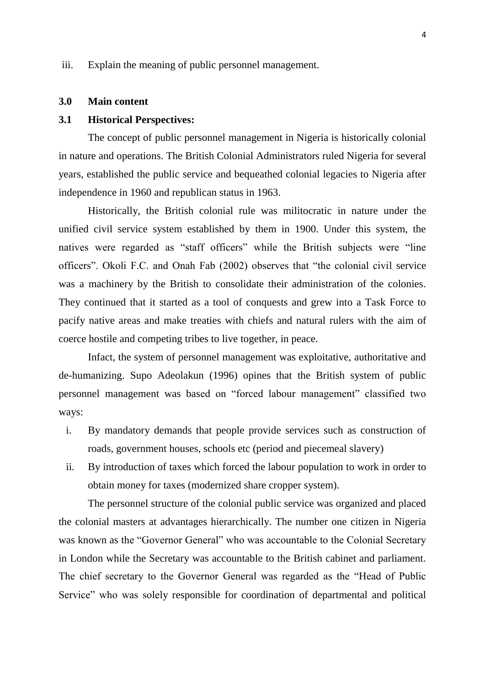iii. Explain the meaning of public personnel management.

#### **3.0 Main content**

#### **3.1 Historical Perspectives:**

The concept of public personnel management in Nigeria is historically colonial in nature and operations. The British Colonial Administrators ruled Nigeria for several years, established the public service and bequeathed colonial legacies to Nigeria after independence in 1960 and republican status in 1963.

Historically, the British colonial rule was militocratic in nature under the unified civil service system established by them in 1900. Under this system, the natives were regarded as "staff officers" while the British subjects were "line officers". Okoli F.C. and Onah Fab (2002) observes that "the colonial civil service was a machinery by the British to consolidate their administration of the colonies. They continued that it started as a tool of conquests and grew into a Task Force to pacify native areas and make treaties with chiefs and natural rulers with the aim of coerce hostile and competing tribes to live together, in peace.

Infact, the system of personnel management was exploitative, authoritative and de-humanizing. Supo Adeolakun (1996) opines that the British system of public personnel management was based on "forced labour management" classified two ways:

- i. By mandatory demands that people provide services such as construction of roads, government houses, schools etc (period and piecemeal slavery)
- ii. By introduction of taxes which forced the labour population to work in order to obtain money for taxes (modernized share cropper system).

The personnel structure of the colonial public service was organized and placed the colonial masters at advantages hierarchically. The number one citizen in Nigeria was known as the "Governor General" who was accountable to the Colonial Secretary in London while the Secretary was accountable to the British cabinet and parliament. The chief secretary to the Governor General was regarded as the "Head of Public Service" who was solely responsible for coordination of departmental and political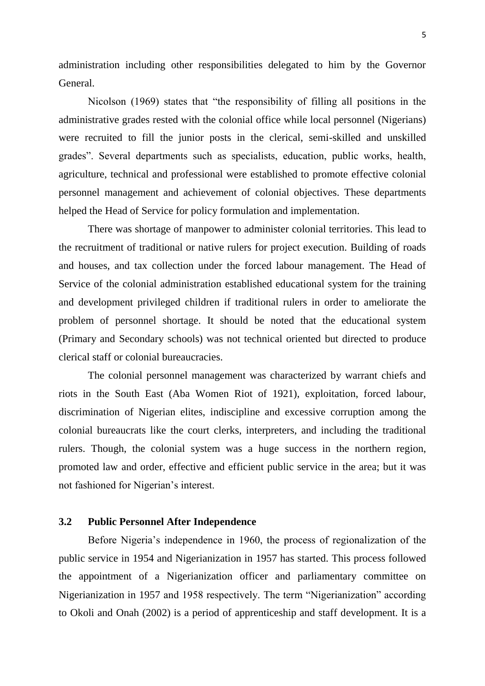administration including other responsibilities delegated to him by the Governor General.

Nicolson (1969) states that "the responsibility of filling all positions in the administrative grades rested with the colonial office while local personnel (Nigerians) were recruited to fill the junior posts in the clerical, semi-skilled and unskilled grades". Several departments such as specialists, education, public works, health, agriculture, technical and professional were established to promote effective colonial personnel management and achievement of colonial objectives. These departments helped the Head of Service for policy formulation and implementation.

There was shortage of manpower to administer colonial territories. This lead to the recruitment of traditional or native rulers for project execution. Building of roads and houses, and tax collection under the forced labour management. The Head of Service of the colonial administration established educational system for the training and development privileged children if traditional rulers in order to ameliorate the problem of personnel shortage. It should be noted that the educational system (Primary and Secondary schools) was not technical oriented but directed to produce clerical staff or colonial bureaucracies.

The colonial personnel management was characterized by warrant chiefs and riots in the South East (Aba Women Riot of 1921), exploitation, forced labour, discrimination of Nigerian elites, indiscipline and excessive corruption among the colonial bureaucrats like the court clerks, interpreters, and including the traditional rulers. Though, the colonial system was a huge success in the northern region, promoted law and order, effective and efficient public service in the area; but it was not fashioned for Nigerian"s interest.

### **3.2 Public Personnel After Independence**

Before Nigeria's independence in 1960, the process of regionalization of the public service in 1954 and Nigerianization in 1957 has started. This process followed the appointment of a Nigerianization officer and parliamentary committee on Nigerianization in 1957 and 1958 respectively. The term "Nigerianization" according to Okoli and Onah (2002) is a period of apprenticeship and staff development. It is a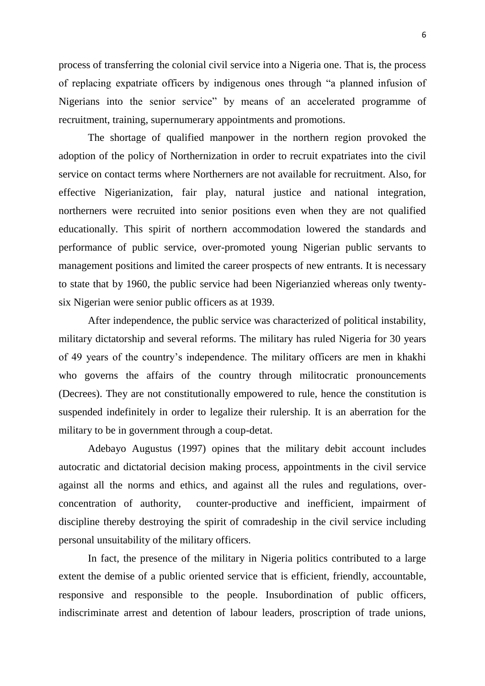6

process of transferring the colonial civil service into a Nigeria one. That is, the process of replacing expatriate officers by indigenous ones through "a planned infusion of Nigerians into the senior service" by means of an accelerated programme of recruitment, training, supernumerary appointments and promotions.

The shortage of qualified manpower in the northern region provoked the adoption of the policy of Northernization in order to recruit expatriates into the civil service on contact terms where Northerners are not available for recruitment. Also, for effective Nigerianization, fair play, natural justice and national integration, northerners were recruited into senior positions even when they are not qualified educationally. This spirit of northern accommodation lowered the standards and performance of public service, over-promoted young Nigerian public servants to management positions and limited the career prospects of new entrants. It is necessary to state that by 1960, the public service had been Nigerianzied whereas only twentysix Nigerian were senior public officers as at 1939.

After independence, the public service was characterized of political instability, military dictatorship and several reforms. The military has ruled Nigeria for 30 years of 49 years of the country"s independence. The military officers are men in khakhi who governs the affairs of the country through militocratic pronouncements (Decrees). They are not constitutionally empowered to rule, hence the constitution is suspended indefinitely in order to legalize their rulership. It is an aberration for the military to be in government through a coup-detat.

Adebayo Augustus (1997) opines that the military debit account includes autocratic and dictatorial decision making process, appointments in the civil service against all the norms and ethics, and against all the rules and regulations, overconcentration of authority, counter-productive and inefficient, impairment of discipline thereby destroying the spirit of comradeship in the civil service including personal unsuitability of the military officers.

In fact, the presence of the military in Nigeria politics contributed to a large extent the demise of a public oriented service that is efficient, friendly, accountable, responsive and responsible to the people. Insubordination of public officers, indiscriminate arrest and detention of labour leaders, proscription of trade unions,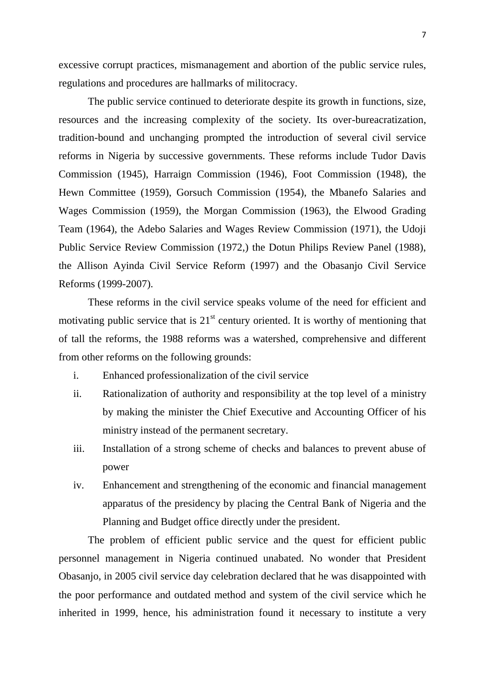excessive corrupt practices, mismanagement and abortion of the public service rules, regulations and procedures are hallmarks of militocracy.

The public service continued to deteriorate despite its growth in functions, size, resources and the increasing complexity of the society. Its over-bureacratization, tradition-bound and unchanging prompted the introduction of several civil service reforms in Nigeria by successive governments. These reforms include Tudor Davis Commission (1945), Harraign Commission (1946), Foot Commission (1948), the Hewn Committee (1959), Gorsuch Commission (1954), the Mbanefo Salaries and Wages Commission (1959), the Morgan Commission (1963), the Elwood Grading Team (1964), the Adebo Salaries and Wages Review Commission (1971), the Udoji Public Service Review Commission (1972,) the Dotun Philips Review Panel (1988), the Allison Ayinda Civil Service Reform (1997) and the Obasanjo Civil Service Reforms (1999-2007).

These reforms in the civil service speaks volume of the need for efficient and motivating public service that is  $21<sup>st</sup>$  century oriented. It is worthy of mentioning that of tall the reforms, the 1988 reforms was a watershed, comprehensive and different from other reforms on the following grounds:

- i. Enhanced professionalization of the civil service
- ii. Rationalization of authority and responsibility at the top level of a ministry by making the minister the Chief Executive and Accounting Officer of his ministry instead of the permanent secretary.
- iii. Installation of a strong scheme of checks and balances to prevent abuse of power
- iv. Enhancement and strengthening of the economic and financial management apparatus of the presidency by placing the Central Bank of Nigeria and the Planning and Budget office directly under the president.

The problem of efficient public service and the quest for efficient public personnel management in Nigeria continued unabated. No wonder that President Obasanjo, in 2005 civil service day celebration declared that he was disappointed with the poor performance and outdated method and system of the civil service which he inherited in 1999, hence, his administration found it necessary to institute a very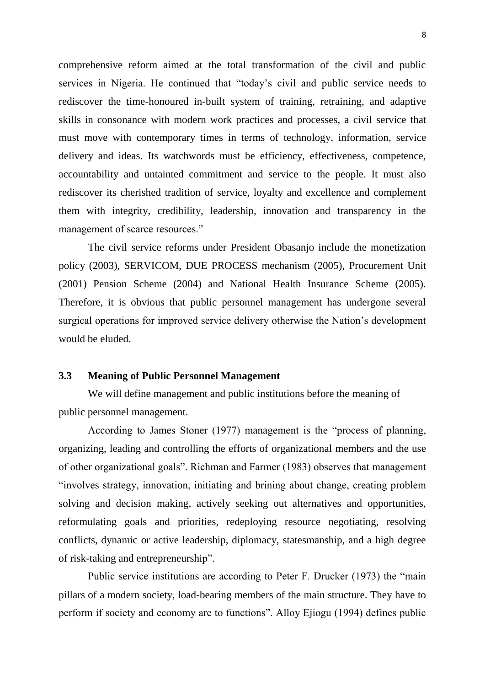comprehensive reform aimed at the total transformation of the civil and public services in Nigeria. He continued that "today"s civil and public service needs to rediscover the time-honoured in-built system of training, retraining, and adaptive skills in consonance with modern work practices and processes, a civil service that must move with contemporary times in terms of technology, information, service delivery and ideas. Its watchwords must be efficiency, effectiveness, competence, accountability and untainted commitment and service to the people. It must also rediscover its cherished tradition of service, loyalty and excellence and complement them with integrity, credibility, leadership, innovation and transparency in the management of scarce resources."

The civil service reforms under President Obasanjo include the monetization policy (2003), SERVICOM, DUE PROCESS mechanism (2005), Procurement Unit (2001) Pension Scheme (2004) and National Health Insurance Scheme (2005). Therefore, it is obvious that public personnel management has undergone several surgical operations for improved service delivery otherwise the Nation"s development would be eluded.

#### **3.3 Meaning of Public Personnel Management**

We will define management and public institutions before the meaning of public personnel management.

According to James Stoner (1977) management is the "process of planning, organizing, leading and controlling the efforts of organizational members and the use of other organizational goals". Richman and Farmer (1983) observes that management "involves strategy, innovation, initiating and brining about change, creating problem solving and decision making, actively seeking out alternatives and opportunities, reformulating goals and priorities, redeploying resource negotiating, resolving conflicts, dynamic or active leadership, diplomacy, statesmanship, and a high degree of risk-taking and entrepreneurship".

Public service institutions are according to Peter F. Drucker (1973) the "main pillars of a modern society, load-bearing members of the main structure. They have to perform if society and economy are to functions". Alloy Ejiogu (1994) defines public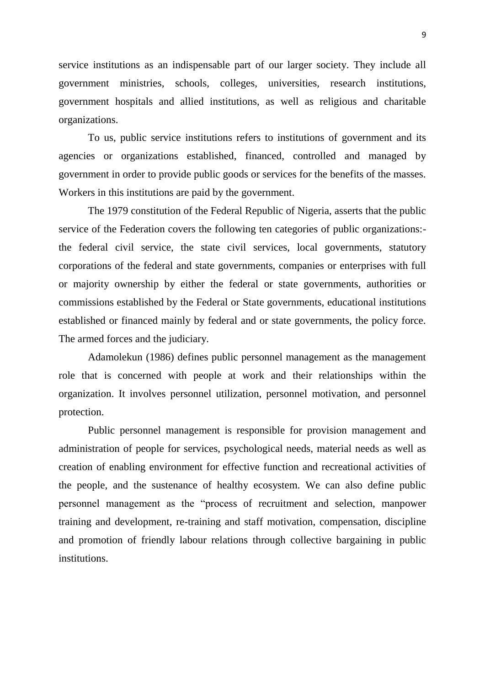service institutions as an indispensable part of our larger society. They include all government ministries, schools, colleges, universities, research institutions, government hospitals and allied institutions, as well as religious and charitable organizations.

To us, public service institutions refers to institutions of government and its agencies or organizations established, financed, controlled and managed by government in order to provide public goods or services for the benefits of the masses. Workers in this institutions are paid by the government.

The 1979 constitution of the Federal Republic of Nigeria, asserts that the public service of the Federation covers the following ten categories of public organizations: the federal civil service, the state civil services, local governments, statutory corporations of the federal and state governments, companies or enterprises with full or majority ownership by either the federal or state governments, authorities or commissions established by the Federal or State governments, educational institutions established or financed mainly by federal and or state governments, the policy force. The armed forces and the judiciary.

Adamolekun (1986) defines public personnel management as the management role that is concerned with people at work and their relationships within the organization. It involves personnel utilization, personnel motivation, and personnel protection.

Public personnel management is responsible for provision management and administration of people for services, psychological needs, material needs as well as creation of enabling environment for effective function and recreational activities of the people, and the sustenance of healthy ecosystem. We can also define public personnel management as the "process of recruitment and selection, manpower training and development, re-training and staff motivation, compensation, discipline and promotion of friendly labour relations through collective bargaining in public institutions.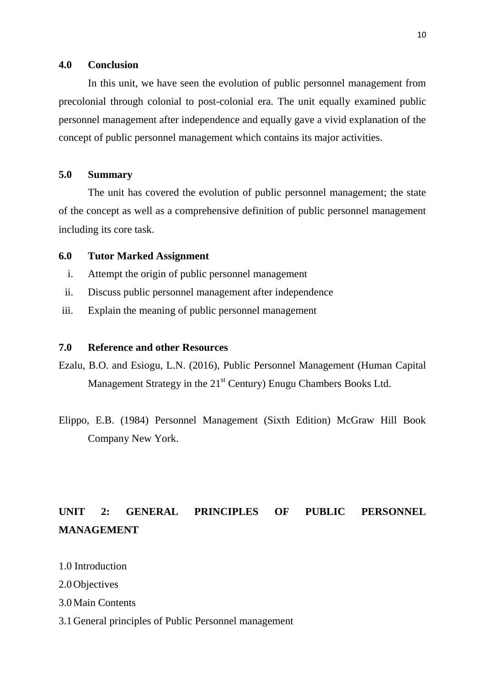#### **4.0 Conclusion**

In this unit, we have seen the evolution of public personnel management from precolonial through colonial to post-colonial era. The unit equally examined public personnel management after independence and equally gave a vivid explanation of the concept of public personnel management which contains its major activities.

### **5.0 Summary**

The unit has covered the evolution of public personnel management; the state of the concept as well as a comprehensive definition of public personnel management including its core task.

### **6.0 Tutor Marked Assignment**

- i. Attempt the origin of public personnel management
- ii. Discuss public personnel management after independence
- iii. Explain the meaning of public personnel management

### **7.0 Reference and other Resources**

- Ezalu, B.O. and Esiogu, L.N. (2016), Public Personnel Management (Human Capital Management Strategy in the  $21<sup>st</sup>$  Century) Enugu Chambers Books Ltd.
- Elippo, E.B. (1984) Personnel Management (Sixth Edition) McGraw Hill Book Company New York.

# **UNIT 2: GENERAL PRINCIPLES OF PUBLIC PERSONNEL MANAGEMENT**

- 1.0 Introduction
- 2.0Objectives
- 3.0Main Contents
- 3.1General principles of Public Personnel management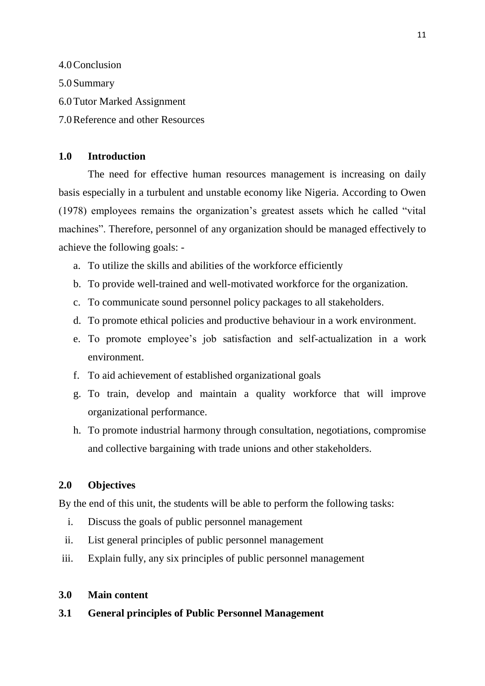4.0Conclusion 5.0Summary 6.0Tutor Marked Assignment 7.0Reference and other Resources

### **1.0 Introduction**

The need for effective human resources management is increasing on daily basis especially in a turbulent and unstable economy like Nigeria. According to Owen (1978) employees remains the organization"s greatest assets which he called "vital machines". Therefore, personnel of any organization should be managed effectively to achieve the following goals: -

- a. To utilize the skills and abilities of the workforce efficiently
- b. To provide well-trained and well-motivated workforce for the organization.
- c. To communicate sound personnel policy packages to all stakeholders.
- d. To promote ethical policies and productive behaviour in a work environment.
- e. To promote employee"s job satisfaction and self-actualization in a work environment.
- f. To aid achievement of established organizational goals
- g. To train, develop and maintain a quality workforce that will improve organizational performance.
- h. To promote industrial harmony through consultation, negotiations, compromise and collective bargaining with trade unions and other stakeholders.

### **2.0 Objectives**

By the end of this unit, the students will be able to perform the following tasks:

- i. Discuss the goals of public personnel management
- ii. List general principles of public personnel management
- iii. Explain fully, any six principles of public personnel management

### **3.0 Main content**

### **3.1 General principles of Public Personnel Management**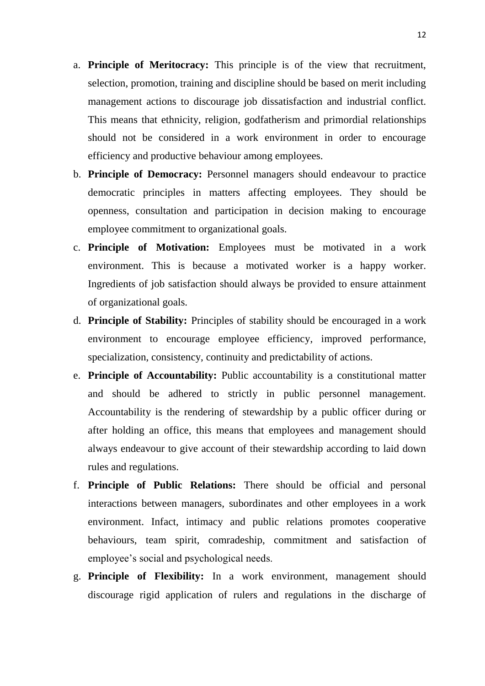- a. **Principle of Meritocracy:** This principle is of the view that recruitment, selection, promotion, training and discipline should be based on merit including management actions to discourage job dissatisfaction and industrial conflict. This means that ethnicity, religion, godfatherism and primordial relationships should not be considered in a work environment in order to encourage efficiency and productive behaviour among employees.
- b. **Principle of Democracy:** Personnel managers should endeavour to practice democratic principles in matters affecting employees. They should be openness, consultation and participation in decision making to encourage employee commitment to organizational goals.
- c. **Principle of Motivation:** Employees must be motivated in a work environment. This is because a motivated worker is a happy worker. Ingredients of job satisfaction should always be provided to ensure attainment of organizational goals.
- d. **Principle of Stability:** Principles of stability should be encouraged in a work environment to encourage employee efficiency, improved performance, specialization, consistency, continuity and predictability of actions.
- e. **Principle of Accountability:** Public accountability is a constitutional matter and should be adhered to strictly in public personnel management. Accountability is the rendering of stewardship by a public officer during or after holding an office, this means that employees and management should always endeavour to give account of their stewardship according to laid down rules and regulations.
- f. **Principle of Public Relations:** There should be official and personal interactions between managers, subordinates and other employees in a work environment. Infact, intimacy and public relations promotes cooperative behaviours, team spirit, comradeship, commitment and satisfaction of employee"s social and psychological needs.
- g. **Principle of Flexibility:** In a work environment, management should discourage rigid application of rulers and regulations in the discharge of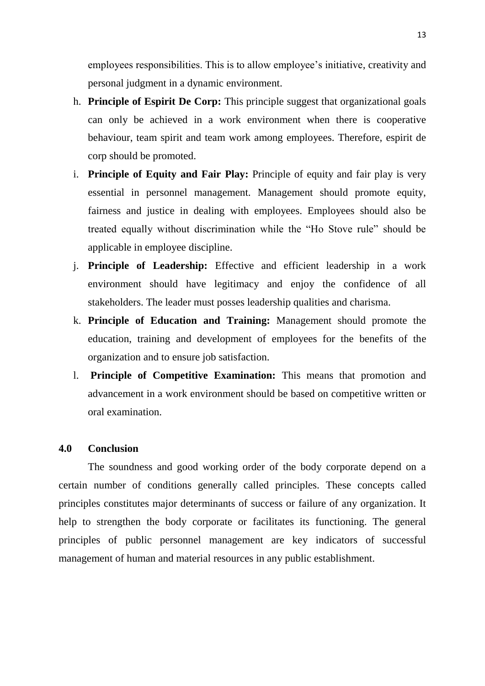employees responsibilities. This is to allow employee"s initiative, creativity and personal judgment in a dynamic environment.

- h. **Principle of Espirit De Corp:** This principle suggest that organizational goals can only be achieved in a work environment when there is cooperative behaviour, team spirit and team work among employees. Therefore, espirit de corp should be promoted.
- i. **Principle of Equity and Fair Play:** Principle of equity and fair play is very essential in personnel management. Management should promote equity, fairness and justice in dealing with employees. Employees should also be treated equally without discrimination while the "Ho Stove rule" should be applicable in employee discipline.
- j. **Principle of Leadership:** Effective and efficient leadership in a work environment should have legitimacy and enjoy the confidence of all stakeholders. The leader must posses leadership qualities and charisma.
- k. **Principle of Education and Training:** Management should promote the education, training and development of employees for the benefits of the organization and to ensure job satisfaction.
- l. **Principle of Competitive Examination:** This means that promotion and advancement in a work environment should be based on competitive written or oral examination.

#### **4.0 Conclusion**

The soundness and good working order of the body corporate depend on a certain number of conditions generally called principles. These concepts called principles constitutes major determinants of success or failure of any organization. It help to strengthen the body corporate or facilitates its functioning. The general principles of public personnel management are key indicators of successful management of human and material resources in any public establishment.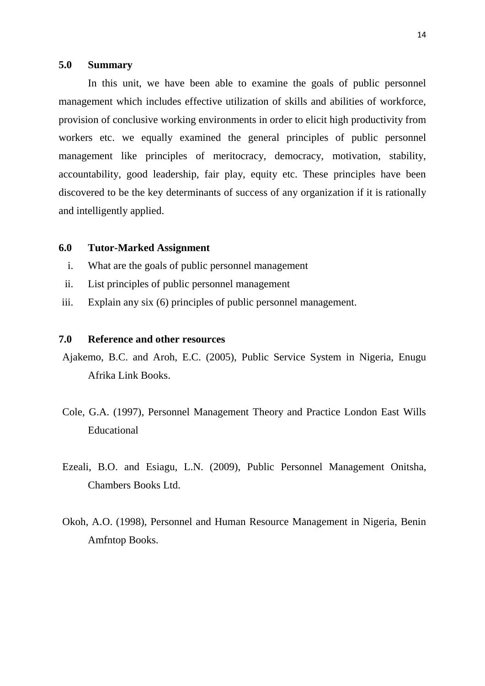#### **5.0 Summary**

In this unit, we have been able to examine the goals of public personnel management which includes effective utilization of skills and abilities of workforce, provision of conclusive working environments in order to elicit high productivity from workers etc. we equally examined the general principles of public personnel management like principles of meritocracy, democracy, motivation, stability, accountability, good leadership, fair play, equity etc. These principles have been discovered to be the key determinants of success of any organization if it is rationally and intelligently applied.

### **6.0 Tutor-Marked Assignment**

- i. What are the goals of public personnel management
- ii. List principles of public personnel management
- iii. Explain any six (6) principles of public personnel management.

#### **7.0 Reference and other resources**

- Ajakemo, B.C. and Aroh, E.C. (2005), Public Service System in Nigeria, Enugu Afrika Link Books.
- Cole, G.A. (1997), Personnel Management Theory and Practice London East Wills Educational
- Ezeali, B.O. and Esiagu, L.N. (2009), Public Personnel Management Onitsha, Chambers Books Ltd.
- Okoh, A.O. (1998), Personnel and Human Resource Management in Nigeria, Benin Amfntop Books.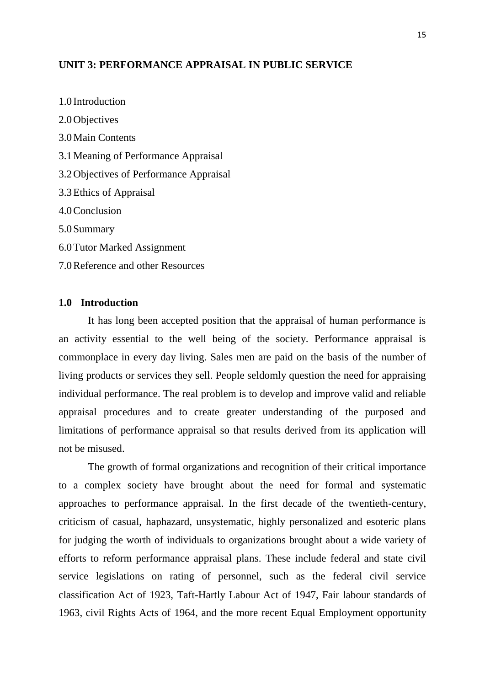### **UNIT 3: PERFORMANCE APPRAISAL IN PUBLIC SERVICE**

1.0 Introduction 2.0Objectives 3.0Main Contents 3.1Meaning of Performance Appraisal 3.2Objectives of Performance Appraisal 3.3Ethics of Appraisal 4.0Conclusion 5.0Summary 6.0Tutor Marked Assignment 7.0Reference and other Resources

### **1.0 Introduction**

It has long been accepted position that the appraisal of human performance is an activity essential to the well being of the society. Performance appraisal is commonplace in every day living. Sales men are paid on the basis of the number of living products or services they sell. People seldomly question the need for appraising individual performance. The real problem is to develop and improve valid and reliable appraisal procedures and to create greater understanding of the purposed and limitations of performance appraisal so that results derived from its application will not be misused.

The growth of formal organizations and recognition of their critical importance to a complex society have brought about the need for formal and systematic approaches to performance appraisal. In the first decade of the twentieth-century, criticism of casual, haphazard, unsystematic, highly personalized and esoteric plans for judging the worth of individuals to organizations brought about a wide variety of efforts to reform performance appraisal plans. These include federal and state civil service legislations on rating of personnel, such as the federal civil service classification Act of 1923, Taft-Hartly Labour Act of 1947, Fair labour standards of 1963, civil Rights Acts of 1964, and the more recent Equal Employment opportunity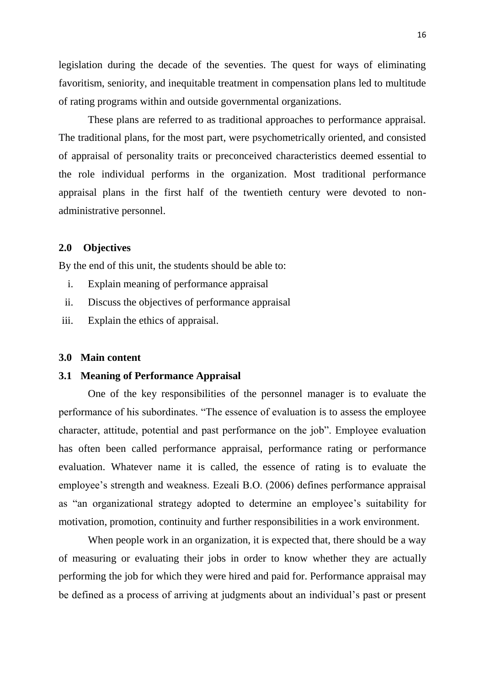legislation during the decade of the seventies. The quest for ways of eliminating favoritism, seniority, and inequitable treatment in compensation plans led to multitude of rating programs within and outside governmental organizations.

These plans are referred to as traditional approaches to performance appraisal. The traditional plans, for the most part, were psychometrically oriented, and consisted of appraisal of personality traits or preconceived characteristics deemed essential to the role individual performs in the organization. Most traditional performance appraisal plans in the first half of the twentieth century were devoted to nonadministrative personnel.

#### **2.0 Objectives**

By the end of this unit, the students should be able to:

- i. Explain meaning of performance appraisal
- ii. Discuss the objectives of performance appraisal
- iii. Explain the ethics of appraisal.

#### **3.0 Main content**

#### **3.1 Meaning of Performance Appraisal**

One of the key responsibilities of the personnel manager is to evaluate the performance of his subordinates. "The essence of evaluation is to assess the employee character, attitude, potential and past performance on the job". Employee evaluation has often been called performance appraisal, performance rating or performance evaluation. Whatever name it is called, the essence of rating is to evaluate the employee"s strength and weakness. Ezeali B.O. (2006) defines performance appraisal as "an organizational strategy adopted to determine an employee"s suitability for motivation, promotion, continuity and further responsibilities in a work environment.

When people work in an organization, it is expected that, there should be a way of measuring or evaluating their jobs in order to know whether they are actually performing the job for which they were hired and paid for. Performance appraisal may be defined as a process of arriving at judgments about an individual"s past or present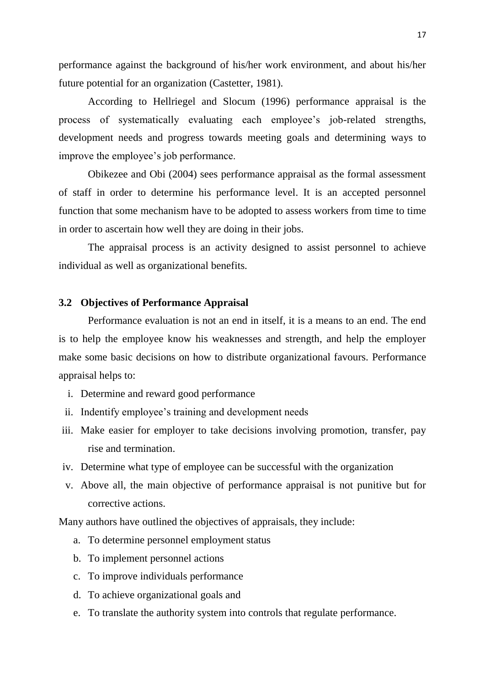performance against the background of his/her work environment, and about his/her future potential for an organization (Castetter, 1981).

According to Hellriegel and Slocum (1996) performance appraisal is the process of systematically evaluating each employee's job-related strengths, development needs and progress towards meeting goals and determining ways to improve the employee's job performance.

Obikezee and Obi (2004) sees performance appraisal as the formal assessment of staff in order to determine his performance level. It is an accepted personnel function that some mechanism have to be adopted to assess workers from time to time in order to ascertain how well they are doing in their jobs.

The appraisal process is an activity designed to assist personnel to achieve individual as well as organizational benefits.

### **3.2 Objectives of Performance Appraisal**

Performance evaluation is not an end in itself, it is a means to an end. The end is to help the employee know his weaknesses and strength, and help the employer make some basic decisions on how to distribute organizational favours. Performance appraisal helps to:

- i. Determine and reward good performance
- ii. Indentify employee"s training and development needs
- iii. Make easier for employer to take decisions involving promotion, transfer, pay rise and termination.
- iv. Determine what type of employee can be successful with the organization
- v. Above all, the main objective of performance appraisal is not punitive but for corrective actions.

Many authors have outlined the objectives of appraisals, they include:

- a. To determine personnel employment status
- b. To implement personnel actions
- c. To improve individuals performance
- d. To achieve organizational goals and
- e. To translate the authority system into controls that regulate performance.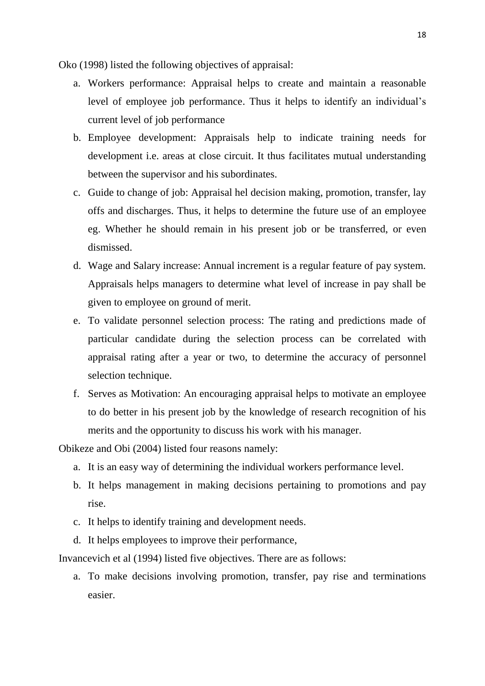Oko (1998) listed the following objectives of appraisal:

- a. Workers performance: Appraisal helps to create and maintain a reasonable level of employee job performance. Thus it helps to identify an individual"s current level of job performance
- b. Employee development: Appraisals help to indicate training needs for development i.e. areas at close circuit. It thus facilitates mutual understanding between the supervisor and his subordinates.
- c. Guide to change of job: Appraisal hel decision making, promotion, transfer, lay offs and discharges. Thus, it helps to determine the future use of an employee eg. Whether he should remain in his present job or be transferred, or even dismissed.
- d. Wage and Salary increase: Annual increment is a regular feature of pay system. Appraisals helps managers to determine what level of increase in pay shall be given to employee on ground of merit.
- e. To validate personnel selection process: The rating and predictions made of particular candidate during the selection process can be correlated with appraisal rating after a year or two, to determine the accuracy of personnel selection technique.
- f. Serves as Motivation: An encouraging appraisal helps to motivate an employee to do better in his present job by the knowledge of research recognition of his merits and the opportunity to discuss his work with his manager.

Obikeze and Obi (2004) listed four reasons namely:

- a. It is an easy way of determining the individual workers performance level.
- b. It helps management in making decisions pertaining to promotions and pay rise.
- c. It helps to identify training and development needs.
- d. It helps employees to improve their performance,

Invancevich et al (1994) listed five objectives. There are as follows:

a. To make decisions involving promotion, transfer, pay rise and terminations easier.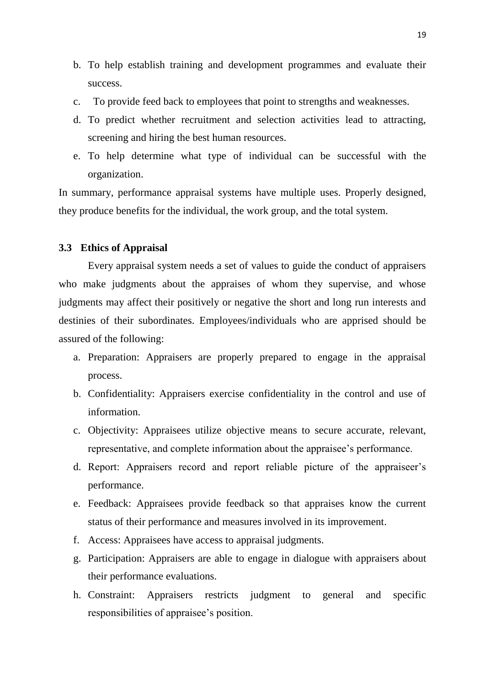- b. To help establish training and development programmes and evaluate their success.
- c. To provide feed back to employees that point to strengths and weaknesses.
- d. To predict whether recruitment and selection activities lead to attracting, screening and hiring the best human resources.
- e. To help determine what type of individual can be successful with the organization.

In summary, performance appraisal systems have multiple uses. Properly designed, they produce benefits for the individual, the work group, and the total system.

### **3.3 Ethics of Appraisal**

Every appraisal system needs a set of values to guide the conduct of appraisers who make judgments about the appraises of whom they supervise, and whose judgments may affect their positively or negative the short and long run interests and destinies of their subordinates. Employees/individuals who are apprised should be assured of the following:

- a. Preparation: Appraisers are properly prepared to engage in the appraisal process.
- b. Confidentiality: Appraisers exercise confidentiality in the control and use of information.
- c. Objectivity: Appraisees utilize objective means to secure accurate, relevant, representative, and complete information about the appraisee's performance.
- d. Report: Appraisers record and report reliable picture of the appraiseer"s performance.
- e. Feedback: Appraisees provide feedback so that appraises know the current status of their performance and measures involved in its improvement.
- f. Access: Appraisees have access to appraisal judgments.
- g. Participation: Appraisers are able to engage in dialogue with appraisers about their performance evaluations.
- h. Constraint: Appraisers restricts judgment to general and specific responsibilities of appraisee's position.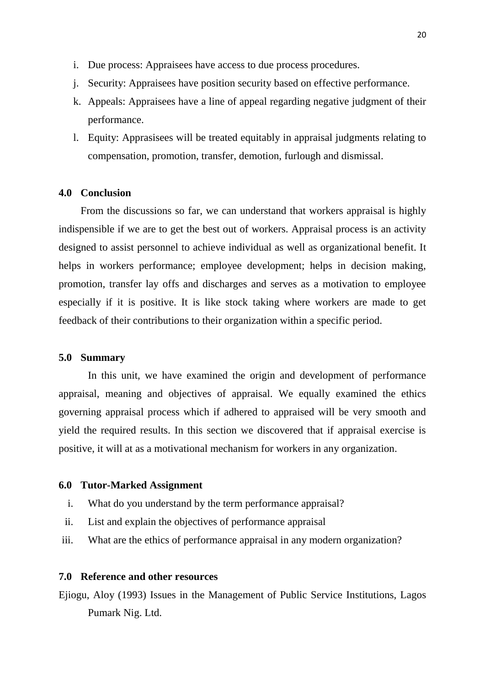- i. Due process: Appraisees have access to due process procedures.
- j. Security: Appraisees have position security based on effective performance.
- k. Appeals: Appraisees have a line of appeal regarding negative judgment of their performance.
- l. Equity: Apprasisees will be treated equitably in appraisal judgments relating to compensation, promotion, transfer, demotion, furlough and dismissal.

### **4.0 Conclusion**

From the discussions so far, we can understand that workers appraisal is highly indispensible if we are to get the best out of workers. Appraisal process is an activity designed to assist personnel to achieve individual as well as organizational benefit. It helps in workers performance; employee development; helps in decision making, promotion, transfer lay offs and discharges and serves as a motivation to employee especially if it is positive. It is like stock taking where workers are made to get feedback of their contributions to their organization within a specific period.

#### **5.0 Summary**

In this unit, we have examined the origin and development of performance appraisal, meaning and objectives of appraisal. We equally examined the ethics governing appraisal process which if adhered to appraised will be very smooth and yield the required results. In this section we discovered that if appraisal exercise is positive, it will at as a motivational mechanism for workers in any organization.

#### **6.0 Tutor-Marked Assignment**

- i. What do you understand by the term performance appraisal?
- ii. List and explain the objectives of performance appraisal
- iii. What are the ethics of performance appraisal in any modern organization?

### **7.0 Reference and other resources**

Ejiogu, Aloy (1993) Issues in the Management of Public Service Institutions, Lagos Pumark Nig. Ltd.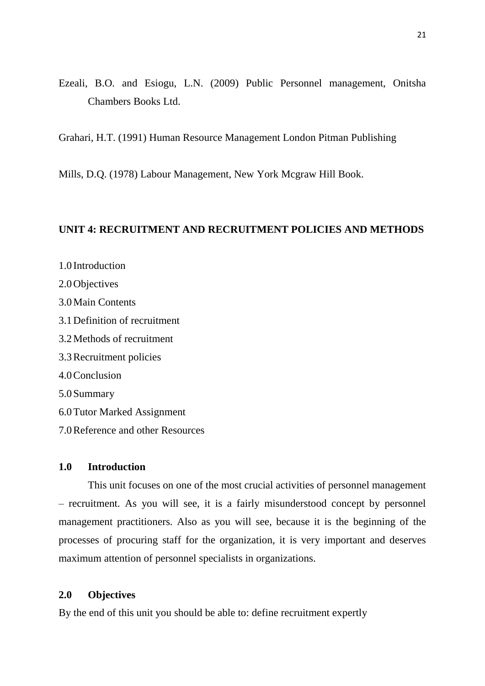Ezeali, B.O. and Esiogu, L.N. (2009) Public Personnel management, Onitsha Chambers Books Ltd.

Grahari, H.T. (1991) Human Resource Management London Pitman Publishing

Mills, D.Q. (1978) Labour Management, New York Mcgraw Hill Book.

### **UNIT 4: RECRUITMENT AND RECRUITMENT POLICIES AND METHODS**

1.0 Introduction 2.0Objectives 3.0Main Contents 3.1Definition of recruitment 3.2Methods of recruitment 3.3Recruitment policies 4.0Conclusion 5.0Summary 6.0Tutor Marked Assignment 7.0Reference and other Resources

### **1.0 Introduction**

This unit focuses on one of the most crucial activities of personnel management – recruitment. As you will see, it is a fairly misunderstood concept by personnel management practitioners. Also as you will see, because it is the beginning of the processes of procuring staff for the organization, it is very important and deserves maximum attention of personnel specialists in organizations.

### **2.0 Objectives**

By the end of this unit you should be able to: define recruitment expertly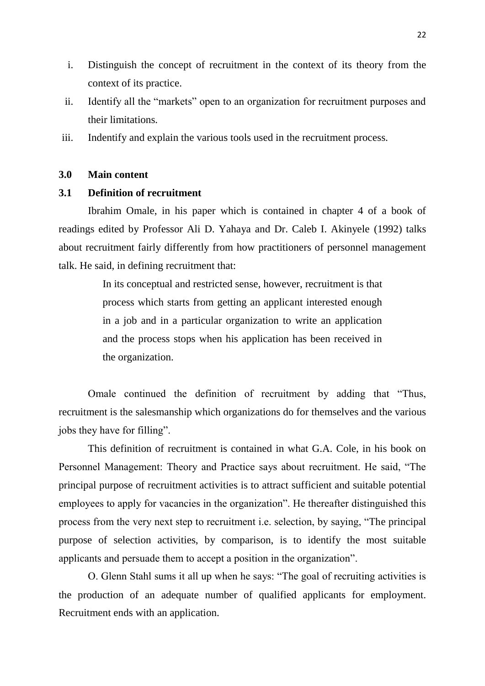- i. Distinguish the concept of recruitment in the context of its theory from the context of its practice.
- ii. Identify all the "markets" open to an organization for recruitment purposes and their limitations.
- iii. Indentify and explain the various tools used in the recruitment process.

### **3.0 Main content**

### **3.1 Definition of recruitment**

Ibrahim Omale, in his paper which is contained in chapter 4 of a book of readings edited by Professor Ali D. Yahaya and Dr. Caleb I. Akinyele (1992) talks about recruitment fairly differently from how practitioners of personnel management talk. He said, in defining recruitment that:

> In its conceptual and restricted sense, however, recruitment is that process which starts from getting an applicant interested enough in a job and in a particular organization to write an application and the process stops when his application has been received in the organization.

Omale continued the definition of recruitment by adding that "Thus, recruitment is the salesmanship which organizations do for themselves and the various jobs they have for filling".

This definition of recruitment is contained in what G.A. Cole, in his book on Personnel Management: Theory and Practice says about recruitment. He said, "The principal purpose of recruitment activities is to attract sufficient and suitable potential employees to apply for vacancies in the organization". He thereafter distinguished this process from the very next step to recruitment i.e. selection, by saying, "The principal purpose of selection activities, by comparison, is to identify the most suitable applicants and persuade them to accept a position in the organization".

O. Glenn Stahl sums it all up when he says: "The goal of recruiting activities is the production of an adequate number of qualified applicants for employment. Recruitment ends with an application.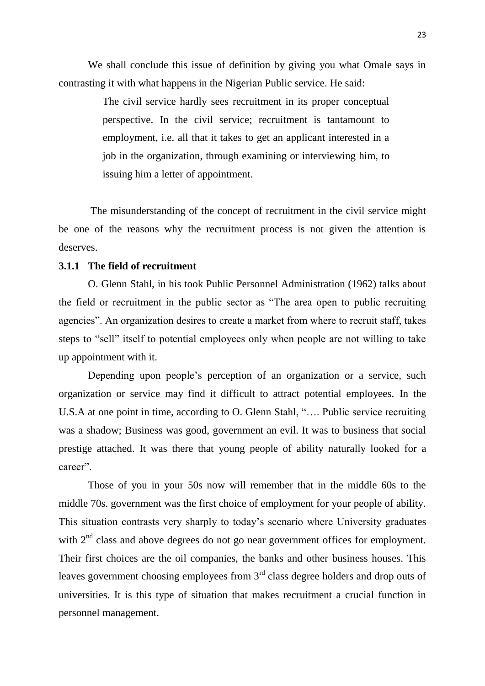We shall conclude this issue of definition by giving you what Omale says in contrasting it with what happens in the Nigerian Public service. He said:

> The civil service hardly sees recruitment in its proper conceptual perspective. In the civil service; recruitment is tantamount to employment, i.e. all that it takes to get an applicant interested in a job in the organization, through examining or interviewing him, to issuing him a letter of appointment.

The misunderstanding of the concept of recruitment in the civil service might be one of the reasons why the recruitment process is not given the attention is deserves.

### **3.1.1 The field of recruitment**

O. Glenn Stahl, in his took Public Personnel Administration (1962) talks about the field or recruitment in the public sector as "The area open to public recruiting agencies". An organization desires to create a market from where to recruit staff, takes steps to "sell" itself to potential employees only when people are not willing to take up appointment with it.

Depending upon people's perception of an organization or a service, such organization or service may find it difficult to attract potential employees. In the U.S.A at one point in time, according to O. Glenn Stahl, "…. Public service recruiting was a shadow; Business was good, government an evil. It was to business that social prestige attached. It was there that young people of ability naturally looked for a career".

Those of you in your 50s now will remember that in the middle 60s to the middle 70s. government was the first choice of employment for your people of ability. This situation contrasts very sharply to today"s scenario where University graduates with  $2<sup>nd</sup>$  class and above degrees do not go near government offices for employment. Their first choices are the oil companies, the banks and other business houses. This leaves government choosing employees from 3<sup>rd</sup> class degree holders and drop outs of universities. It is this type of situation that makes recruitment a crucial function in personnel management.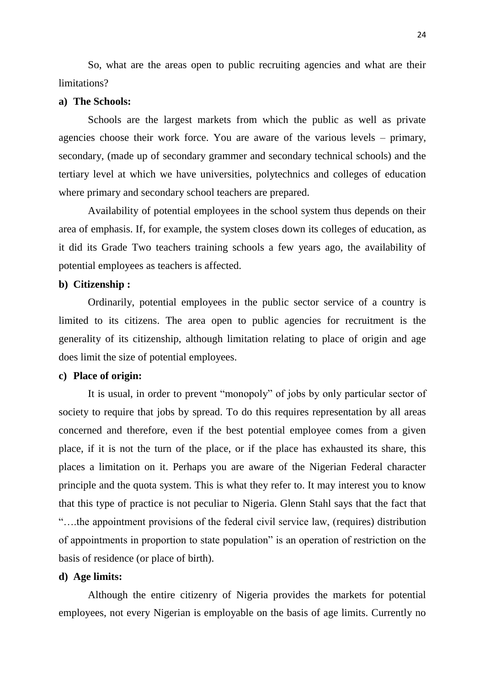So, what are the areas open to public recruiting agencies and what are their limitations?

### **a) The Schools:**

Schools are the largest markets from which the public as well as private agencies choose their work force. You are aware of the various levels – primary, secondary, (made up of secondary grammer and secondary technical schools) and the tertiary level at which we have universities, polytechnics and colleges of education where primary and secondary school teachers are prepared.

Availability of potential employees in the school system thus depends on their area of emphasis. If, for example, the system closes down its colleges of education, as it did its Grade Two teachers training schools a few years ago, the availability of potential employees as teachers is affected.

### **b) Citizenship :**

Ordinarily, potential employees in the public sector service of a country is limited to its citizens. The area open to public agencies for recruitment is the generality of its citizenship, although limitation relating to place of origin and age does limit the size of potential employees.

### **c) Place of origin:**

It is usual, in order to prevent "monopoly" of jobs by only particular sector of society to require that jobs by spread. To do this requires representation by all areas concerned and therefore, even if the best potential employee comes from a given place, if it is not the turn of the place, or if the place has exhausted its share, this places a limitation on it. Perhaps you are aware of the Nigerian Federal character principle and the quota system. This is what they refer to. It may interest you to know that this type of practice is not peculiar to Nigeria. Glenn Stahl says that the fact that "….the appointment provisions of the federal civil service law, (requires) distribution of appointments in proportion to state population" is an operation of restriction on the basis of residence (or place of birth).

### **d) Age limits:**

Although the entire citizenry of Nigeria provides the markets for potential employees, not every Nigerian is employable on the basis of age limits. Currently no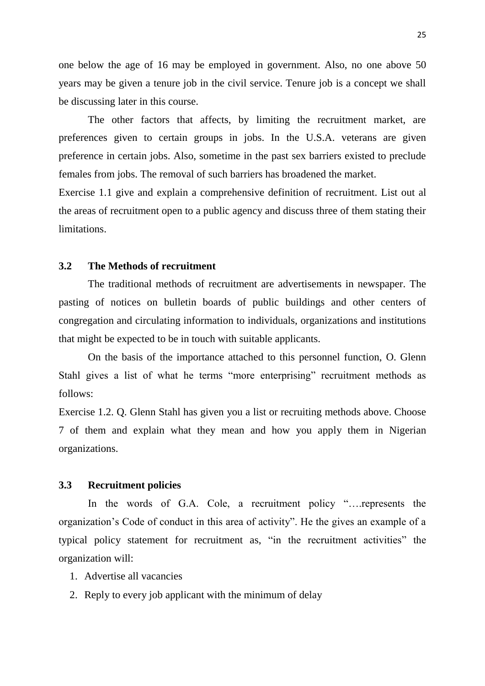one below the age of 16 may be employed in government. Also, no one above 50 years may be given a tenure job in the civil service. Tenure job is a concept we shall be discussing later in this course.

The other factors that affects, by limiting the recruitment market, are preferences given to certain groups in jobs. In the U.S.A. veterans are given preference in certain jobs. Also, sometime in the past sex barriers existed to preclude females from jobs. The removal of such barriers has broadened the market.

Exercise 1.1 give and explain a comprehensive definition of recruitment. List out al the areas of recruitment open to a public agency and discuss three of them stating their limitations.

### **3.2 The Methods of recruitment**

The traditional methods of recruitment are advertisements in newspaper. The pasting of notices on bulletin boards of public buildings and other centers of congregation and circulating information to individuals, organizations and institutions that might be expected to be in touch with suitable applicants.

On the basis of the importance attached to this personnel function, O. Glenn Stahl gives a list of what he terms "more enterprising" recruitment methods as follows:

Exercise 1.2. Q. Glenn Stahl has given you a list or recruiting methods above. Choose 7 of them and explain what they mean and how you apply them in Nigerian organizations.

#### **3.3 Recruitment policies**

In the words of G.A. Cole, a recruitment policy "….represents the organization"s Code of conduct in this area of activity". He the gives an example of a typical policy statement for recruitment as, "in the recruitment activities" the organization will:

- 1. Advertise all vacancies
- 2. Reply to every job applicant with the minimum of delay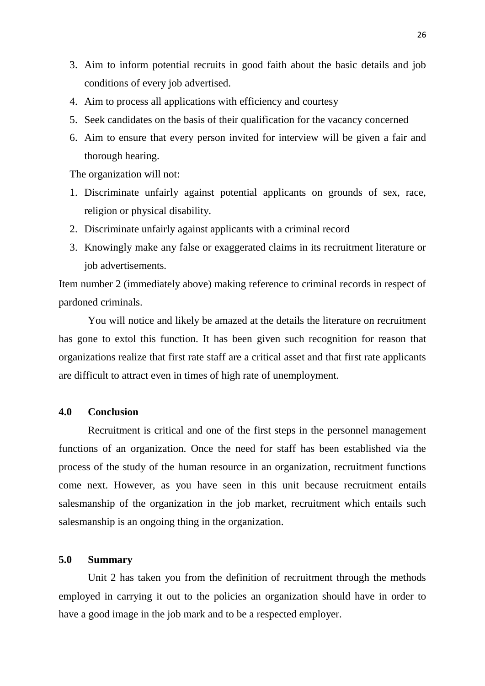- 3. Aim to inform potential recruits in good faith about the basic details and job conditions of every job advertised.
- 4. Aim to process all applications with efficiency and courtesy
- 5. Seek candidates on the basis of their qualification for the vacancy concerned
- 6. Aim to ensure that every person invited for interview will be given a fair and thorough hearing.

The organization will not:

- 1. Discriminate unfairly against potential applicants on grounds of sex, race, religion or physical disability.
- 2. Discriminate unfairly against applicants with a criminal record
- 3. Knowingly make any false or exaggerated claims in its recruitment literature or job advertisements.

Item number 2 (immediately above) making reference to criminal records in respect of pardoned criminals.

You will notice and likely be amazed at the details the literature on recruitment has gone to extol this function. It has been given such recognition for reason that organizations realize that first rate staff are a critical asset and that first rate applicants are difficult to attract even in times of high rate of unemployment.

### **4.0 Conclusion**

Recruitment is critical and one of the first steps in the personnel management functions of an organization. Once the need for staff has been established via the process of the study of the human resource in an organization, recruitment functions come next. However, as you have seen in this unit because recruitment entails salesmanship of the organization in the job market, recruitment which entails such salesmanship is an ongoing thing in the organization.

### **5.0 Summary**

Unit 2 has taken you from the definition of recruitment through the methods employed in carrying it out to the policies an organization should have in order to have a good image in the job mark and to be a respected employer.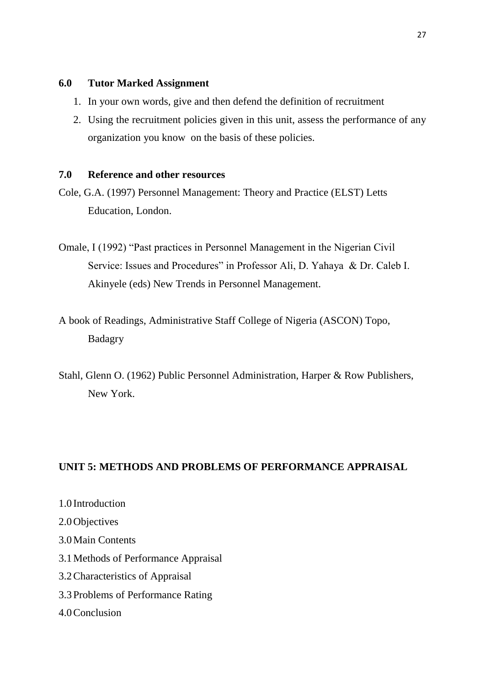### **6.0 Tutor Marked Assignment**

- 1. In your own words, give and then defend the definition of recruitment
- 2. Using the recruitment policies given in this unit, assess the performance of any organization you know on the basis of these policies.

## **7.0 Reference and other resources**

- Cole, G.A. (1997) Personnel Management: Theory and Practice (ELST) Letts Education, London.
- Omale, I (1992) "Past practices in Personnel Management in the Nigerian Civil Service: Issues and Procedures" in Professor Ali, D. Yahaya & Dr. Caleb I. Akinyele (eds) New Trends in Personnel Management.
- A book of Readings, Administrative Staff College of Nigeria (ASCON) Topo, Badagry
- Stahl, Glenn O. (1962) Public Personnel Administration, Harper & Row Publishers, New York.

# **UNIT 5: METHODS AND PROBLEMS OF PERFORMANCE APPRAISAL**

1.0 Introduction 2.0Objectives 3.0Main Contents 3.1Methods of Performance Appraisal 3.2Characteristics of Appraisal 3.3Problems of Performance Rating 4.0Conclusion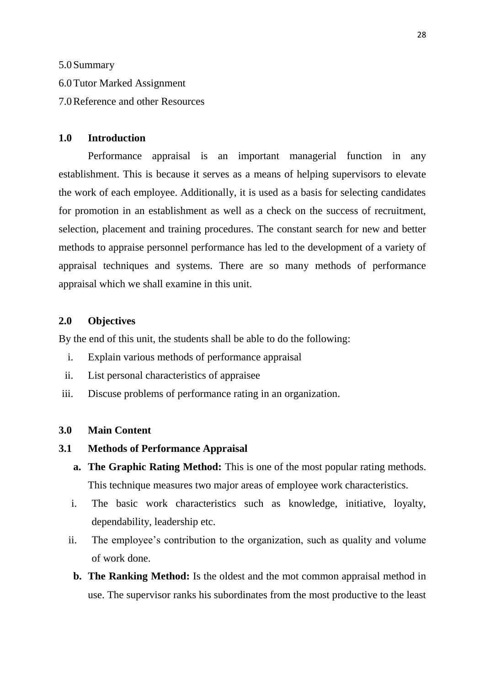5.0Summary

6.0Tutor Marked Assignment

7.0Reference and other Resources

### **1.0 Introduction**

Performance appraisal is an important managerial function in any establishment. This is because it serves as a means of helping supervisors to elevate the work of each employee. Additionally, it is used as a basis for selecting candidates for promotion in an establishment as well as a check on the success of recruitment, selection, placement and training procedures. The constant search for new and better methods to appraise personnel performance has led to the development of a variety of appraisal techniques and systems. There are so many methods of performance appraisal which we shall examine in this unit.

#### **2.0 Objectives**

By the end of this unit, the students shall be able to do the following:

- i. Explain various methods of performance appraisal
- ii. List personal characteristics of appraisee
- iii. Discuse problems of performance rating in an organization.

### **3.0 Main Content**

- **3.1 Methods of Performance Appraisal** 
	- **a. The Graphic Rating Method:** This is one of the most popular rating methods. This technique measures two major areas of employee work characteristics.
	- i. The basic work characteristics such as knowledge, initiative, loyalty, dependability, leadership etc.
	- ii. The employee's contribution to the organization, such as quality and volume of work done.
		- **b. The Ranking Method:** Is the oldest and the mot common appraisal method in use. The supervisor ranks his subordinates from the most productive to the least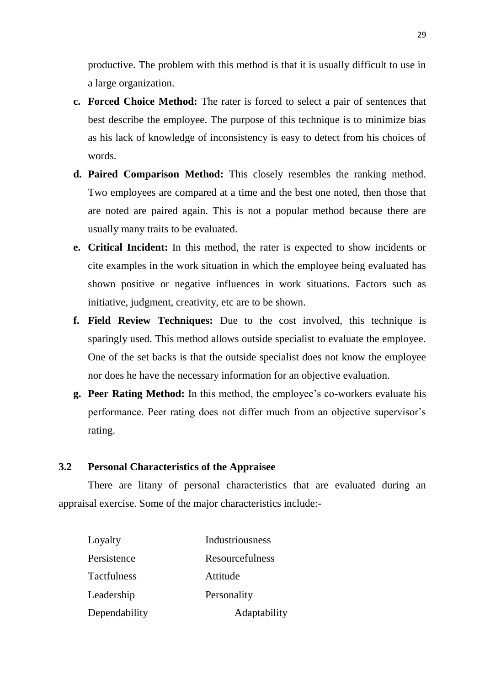productive. The problem with this method is that it is usually difficult to use in a large organization.

- **c. Forced Choice Method:** The rater is forced to select a pair of sentences that best describe the employee. The purpose of this technique is to minimize bias as his lack of knowledge of inconsistency is easy to detect from his choices of words.
- **d. Paired Comparison Method:** This closely resembles the ranking method. Two employees are compared at a time and the best one noted, then those that are noted are paired again. This is not a popular method because there are usually many traits to be evaluated.
- **e. Critical Incident:** In this method, the rater is expected to show incidents or cite examples in the work situation in which the employee being evaluated has shown positive or negative influences in work situations. Factors such as initiative, judgment, creativity, etc are to be shown.
- **f. Field Review Techniques:** Due to the cost involved, this technique is sparingly used. This method allows outside specialist to evaluate the employee. One of the set backs is that the outside specialist does not know the employee nor does he have the necessary information for an objective evaluation.
- **g. Peer Rating Method:** In this method, the employee"s co-workers evaluate his performance. Peer rating does not differ much from an objective supervisor's rating.

#### **3.2 Personal Characteristics of the Appraisee**

There are litany of personal characteristics that are evaluated during an appraisal exercise. Some of the major characteristics include:-

| Loyalty            | Industriousness |
|--------------------|-----------------|
| Persistence        | Resourcefulness |
| <b>Tactfulness</b> | Attitude        |
| Leadership         | Personality     |
| Dependability      | Adaptability    |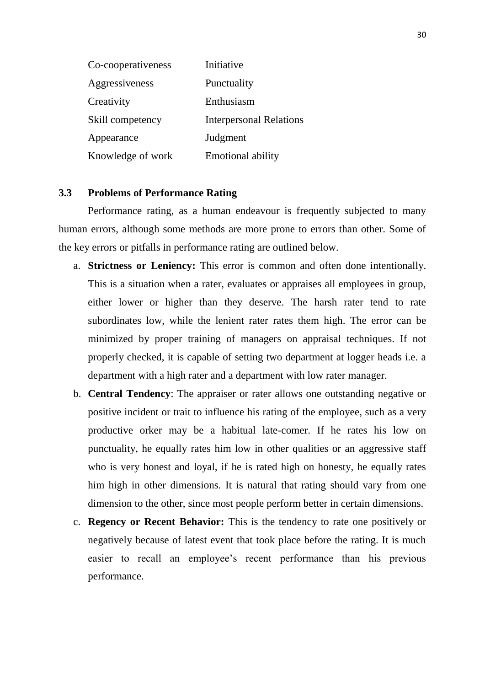| Co-cooperativeness | Initiative                     |
|--------------------|--------------------------------|
| Aggressiveness     | Punctuality                    |
| Creativity         | Enthusiasm                     |
| Skill competency   | <b>Interpersonal Relations</b> |
| Appearance         | Judgment                       |
| Knowledge of work  | <b>Emotional ability</b>       |

#### **3.3 Problems of Performance Rating**

Performance rating, as a human endeavour is frequently subjected to many human errors, although some methods are more prone to errors than other. Some of the key errors or pitfalls in performance rating are outlined below.

- a. **Strictness or Leniency:** This error is common and often done intentionally. This is a situation when a rater, evaluates or appraises all employees in group, either lower or higher than they deserve. The harsh rater tend to rate subordinates low, while the lenient rater rates them high. The error can be minimized by proper training of managers on appraisal techniques. If not properly checked, it is capable of setting two department at logger heads i.e. a department with a high rater and a department with low rater manager.
- b. **Central Tendency**: The appraiser or rater allows one outstanding negative or positive incident or trait to influence his rating of the employee, such as a very productive orker may be a habitual late-comer. If he rates his low on punctuality, he equally rates him low in other qualities or an aggressive staff who is very honest and loyal, if he is rated high on honesty, he equally rates him high in other dimensions. It is natural that rating should vary from one dimension to the other, since most people perform better in certain dimensions.
- c. **Regency or Recent Behavior:** This is the tendency to rate one positively or negatively because of latest event that took place before the rating. It is much easier to recall an employee's recent performance than his previous performance.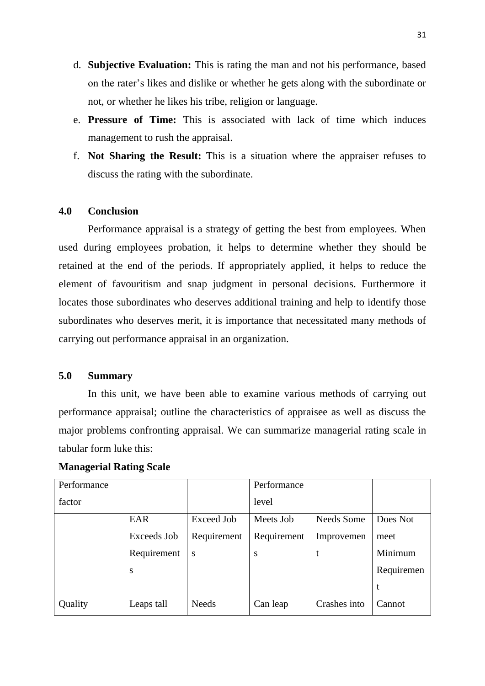- d. **Subjective Evaluation:** This is rating the man and not his performance, based on the rater"s likes and dislike or whether he gets along with the subordinate or not, or whether he likes his tribe, religion or language.
- e. **Pressure of Time:** This is associated with lack of time which induces management to rush the appraisal.
- f. **Not Sharing the Result:** This is a situation where the appraiser refuses to discuss the rating with the subordinate.

### **4.0 Conclusion**

Performance appraisal is a strategy of getting the best from employees. When used during employees probation, it helps to determine whether they should be retained at the end of the periods. If appropriately applied, it helps to reduce the element of favouritism and snap judgment in personal decisions. Furthermore it locates those subordinates who deserves additional training and help to identify those subordinates who deserves merit, it is importance that necessitated many methods of carrying out performance appraisal in an organization.

### **5.0 Summary**

In this unit, we have been able to examine various methods of carrying out performance appraisal; outline the characteristics of appraisee as well as discuss the major problems confronting appraisal. We can summarize managerial rating scale in tabular form luke this:

| Performance |             |              | Performance |              |            |
|-------------|-------------|--------------|-------------|--------------|------------|
| factor      |             |              | level       |              |            |
|             | EAR         | Exceed Job   | Meets Job   | Needs Some   | Does Not   |
|             | Exceeds Job | Requirement  | Requirement | Improvemen   | meet       |
|             | Requirement | S            | S           |              | Minimum    |
|             | S           |              |             |              | Requiremen |
|             |             |              |             |              | t          |
| Quality     | Leaps tall  | <b>Needs</b> | Can leap    | Crashes into | Cannot     |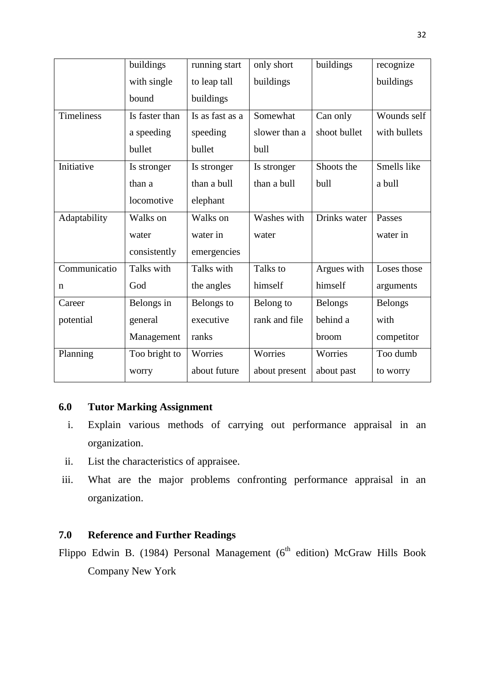|              | buildings      | running start   | only short    | buildings      | recognize      |
|--------------|----------------|-----------------|---------------|----------------|----------------|
|              | with single    | to leap tall    | buildings     |                | buildings      |
|              | bound          | buildings       |               |                |                |
| Timeliness   | Is faster than | Is as fast as a | Somewhat      | Can only       | Wounds self    |
|              | a speeding     | speeding        | slower than a | shoot bullet   | with bullets   |
|              | bullet         | bullet          | bull          |                |                |
| Initiative   | Is stronger    | Is stronger     | Is stronger   | Shoots the     | Smells like    |
|              | than a         | than a bull     | than a bull   | bull           | a bull         |
|              | locomotive     | elephant        |               |                |                |
| Adaptability | Walks on       | Walks on        | Washes with   | Drinks water   | Passes         |
|              | water          | water in        | water         |                | water in       |
|              | consistently   | emergencies     |               |                |                |
| Communicatio | Talks with     | Talks with      | Talks to      | Argues with    | Loses those    |
| n            | God            | the angles      | himself       | himself        | arguments      |
| Career       | Belongs in     | Belongs to      | Belong to     | <b>Belongs</b> | <b>Belongs</b> |
| potential    | general        | executive       | rank and file | behind a       | with           |
|              | Management     | ranks           |               | broom          | competitor     |
| Planning     | Too bright to  | Worries         | Worries       | Worries        | Too dumb       |
|              | worry          | about future    | about present | about past     | to worry       |

# **6.0 Tutor Marking Assignment**

- i. Explain various methods of carrying out performance appraisal in an organization.
- ii. List the characteristics of appraisee.
- iii. What are the major problems confronting performance appraisal in an organization.

# **7.0 Reference and Further Readings**

Flippo Edwin B. (1984) Personal Management (6<sup>th</sup> edition) McGraw Hills Book Company New York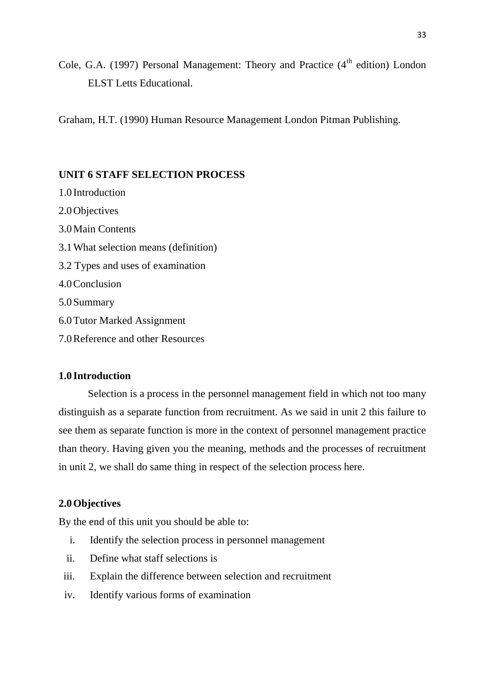Cole, G.A. (1997) Personal Management: Theory and Practice  $(4<sup>th</sup>$  edition) London ELST Letts Educational.

Graham, H.T. (1990) Human Resource Management London Pitman Publishing.

### **UNIT 6 STAFF SELECTION PROCESS**

- 1.0 Introduction 2.0Objectives 3.0Main Contents 3.1What selection means (definition) 3.2 Types and uses of examination 4.0Conclusion 5.0Summary 6.0Tutor Marked Assignment
- 7.0Reference and other Resources

### **1.0 Introduction**

Selection is a process in the personnel management field in which not too many distinguish as a separate function from recruitment. As we said in unit 2 this failure to see them as separate function is more in the context of personnel management practice than theory. Having given you the meaning, methods and the processes of recruitment in unit 2, we shall do same thing in respect of the selection process here.

# **2.0Objectives**

By the end of this unit you should be able to:

- i. Identify the selection process in personnel management
- ii. Define what staff selections is
- iii. Explain the difference between selection and recruitment
- iv. Identify various forms of examination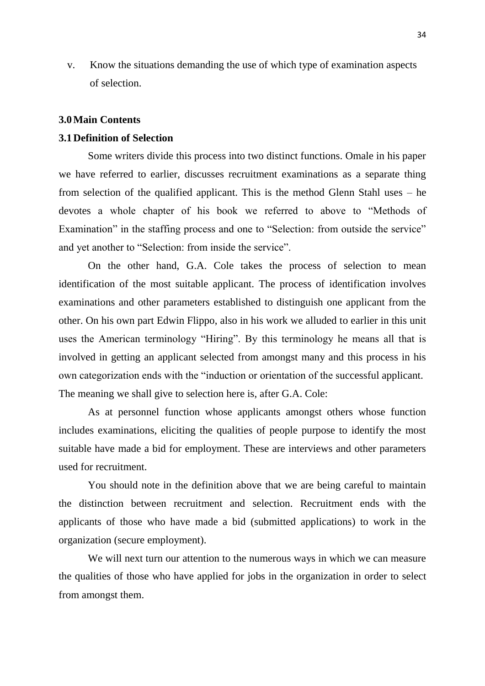v. Know the situations demanding the use of which type of examination aspects of selection.

#### **3.0Main Contents**

### **3.1Definition of Selection**

Some writers divide this process into two distinct functions. Omale in his paper we have referred to earlier, discusses recruitment examinations as a separate thing from selection of the qualified applicant. This is the method Glenn Stahl uses – he devotes a whole chapter of his book we referred to above to "Methods of Examination" in the staffing process and one to "Selection: from outside the service" and yet another to "Selection: from inside the service".

On the other hand, G.A. Cole takes the process of selection to mean identification of the most suitable applicant. The process of identification involves examinations and other parameters established to distinguish one applicant from the other. On his own part Edwin Flippo, also in his work we alluded to earlier in this unit uses the American terminology "Hiring". By this terminology he means all that is involved in getting an applicant selected from amongst many and this process in his own categorization ends with the "induction or orientation of the successful applicant. The meaning we shall give to selection here is, after G.A. Cole:

As at personnel function whose applicants amongst others whose function includes examinations, eliciting the qualities of people purpose to identify the most suitable have made a bid for employment. These are interviews and other parameters used for recruitment.

You should note in the definition above that we are being careful to maintain the distinction between recruitment and selection. Recruitment ends with the applicants of those who have made a bid (submitted applications) to work in the organization (secure employment).

We will next turn our attention to the numerous ways in which we can measure the qualities of those who have applied for jobs in the organization in order to select from amongst them.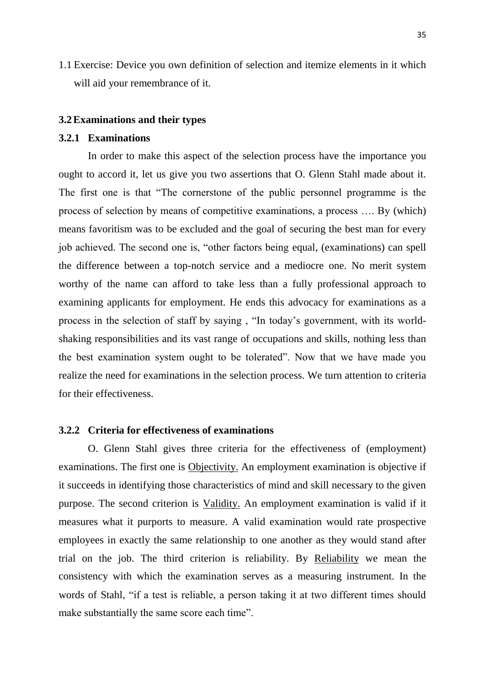1.1 Exercise: Device you own definition of selection and itemize elements in it which will aid your remembrance of it.

#### **3.2Examinations and their types**

### **3.2.1 Examinations**

In order to make this aspect of the selection process have the importance you ought to accord it, let us give you two assertions that O. Glenn Stahl made about it. The first one is that "The cornerstone of the public personnel programme is the process of selection by means of competitive examinations, a process …. By (which) means favoritism was to be excluded and the goal of securing the best man for every job achieved. The second one is, "other factors being equal, (examinations) can spell the difference between a top-notch service and a mediocre one. No merit system worthy of the name can afford to take less than a fully professional approach to examining applicants for employment. He ends this advocacy for examinations as a process in the selection of staff by saying , "In today"s government, with its worldshaking responsibilities and its vast range of occupations and skills, nothing less than the best examination system ought to be tolerated". Now that we have made you realize the need for examinations in the selection process. We turn attention to criteria for their effectiveness.

### **3.2.2 Criteria for effectiveness of examinations**

O. Glenn Stahl gives three criteria for the effectiveness of (employment) examinations. The first one is Objectivity. An employment examination is objective if it succeeds in identifying those characteristics of mind and skill necessary to the given purpose. The second criterion is Validity. An employment examination is valid if it measures what it purports to measure. A valid examination would rate prospective employees in exactly the same relationship to one another as they would stand after trial on the job. The third criterion is reliability. By Reliability we mean the consistency with which the examination serves as a measuring instrument. In the words of Stahl, "if a test is reliable, a person taking it at two different times should make substantially the same score each time".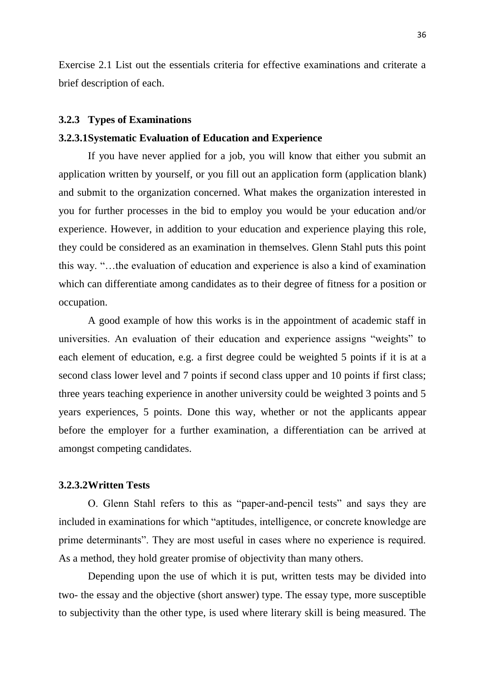Exercise 2.1 List out the essentials criteria for effective examinations and criterate a brief description of each.

#### **3.2.3 Types of Examinations**

### **3.2.3.1Systematic Evaluation of Education and Experience**

If you have never applied for a job, you will know that either you submit an application written by yourself, or you fill out an application form (application blank) and submit to the organization concerned. What makes the organization interested in you for further processes in the bid to employ you would be your education and/or experience. However, in addition to your education and experience playing this role, they could be considered as an examination in themselves. Glenn Stahl puts this point this way. "…the evaluation of education and experience is also a kind of examination which can differentiate among candidates as to their degree of fitness for a position or occupation.

A good example of how this works is in the appointment of academic staff in universities. An evaluation of their education and experience assigns "weights" to each element of education, e.g. a first degree could be weighted 5 points if it is at a second class lower level and 7 points if second class upper and 10 points if first class; three years teaching experience in another university could be weighted 3 points and 5 years experiences, 5 points. Done this way, whether or not the applicants appear before the employer for a further examination, a differentiation can be arrived at amongst competing candidates.

#### **3.2.3.2Written Tests**

O. Glenn Stahl refers to this as "paper-and-pencil tests" and says they are included in examinations for which "aptitudes, intelligence, or concrete knowledge are prime determinants". They are most useful in cases where no experience is required. As a method, they hold greater promise of objectivity than many others.

Depending upon the use of which it is put, written tests may be divided into two- the essay and the objective (short answer) type. The essay type, more susceptible to subjectivity than the other type, is used where literary skill is being measured. The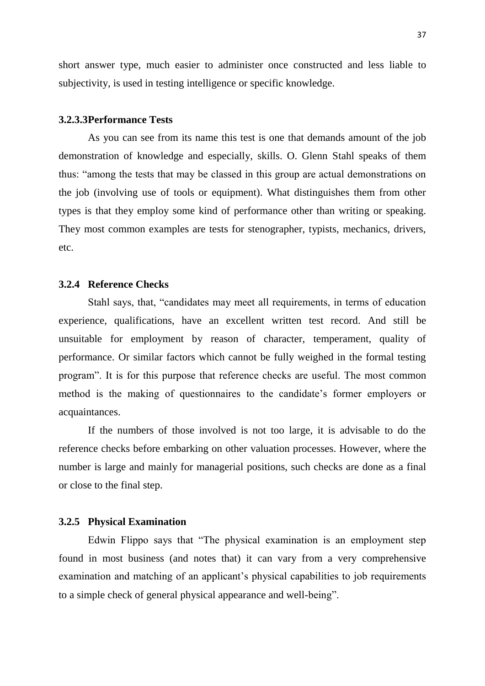short answer type, much easier to administer once constructed and less liable to subjectivity, is used in testing intelligence or specific knowledge.

#### **3.2.3.3Performance Tests**

As you can see from its name this test is one that demands amount of the job demonstration of knowledge and especially, skills. O. Glenn Stahl speaks of them thus: "among the tests that may be classed in this group are actual demonstrations on the job (involving use of tools or equipment). What distinguishes them from other types is that they employ some kind of performance other than writing or speaking. They most common examples are tests for stenographer, typists, mechanics, drivers, etc.

### **3.2.4 Reference Checks**

Stahl says, that, "candidates may meet all requirements, in terms of education experience, qualifications, have an excellent written test record. And still be unsuitable for employment by reason of character, temperament, quality of performance. Or similar factors which cannot be fully weighed in the formal testing program". It is for this purpose that reference checks are useful. The most common method is the making of questionnaires to the candidate"s former employers or acquaintances.

If the numbers of those involved is not too large, it is advisable to do the reference checks before embarking on other valuation processes. However, where the number is large and mainly for managerial positions, such checks are done as a final or close to the final step.

## **3.2.5 Physical Examination**

Edwin Flippo says that "The physical examination is an employment step found in most business (and notes that) it can vary from a very comprehensive examination and matching of an applicant's physical capabilities to job requirements to a simple check of general physical appearance and well-being".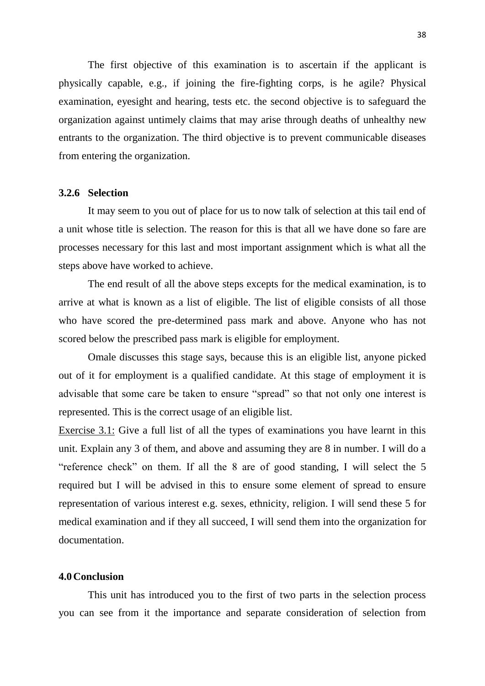The first objective of this examination is to ascertain if the applicant is physically capable, e.g., if joining the fire-fighting corps, is he agile? Physical examination, eyesight and hearing, tests etc. the second objective is to safeguard the organization against untimely claims that may arise through deaths of unhealthy new entrants to the organization. The third objective is to prevent communicable diseases from entering the organization.

## **3.2.6 Selection**

It may seem to you out of place for us to now talk of selection at this tail end of a unit whose title is selection. The reason for this is that all we have done so fare are processes necessary for this last and most important assignment which is what all the steps above have worked to achieve.

The end result of all the above steps excepts for the medical examination, is to arrive at what is known as a list of eligible. The list of eligible consists of all those who have scored the pre-determined pass mark and above. Anyone who has not scored below the prescribed pass mark is eligible for employment.

Omale discusses this stage says, because this is an eligible list, anyone picked out of it for employment is a qualified candidate. At this stage of employment it is advisable that some care be taken to ensure "spread" so that not only one interest is represented. This is the correct usage of an eligible list.

Exercise 3.1: Give a full list of all the types of examinations you have learnt in this unit. Explain any 3 of them, and above and assuming they are 8 in number. I will do a "reference check" on them. If all the 8 are of good standing, I will select the 5 required but I will be advised in this to ensure some element of spread to ensure representation of various interest e.g. sexes, ethnicity, religion. I will send these 5 for medical examination and if they all succeed, I will send them into the organization for documentation.

#### **4.0Conclusion**

This unit has introduced you to the first of two parts in the selection process you can see from it the importance and separate consideration of selection from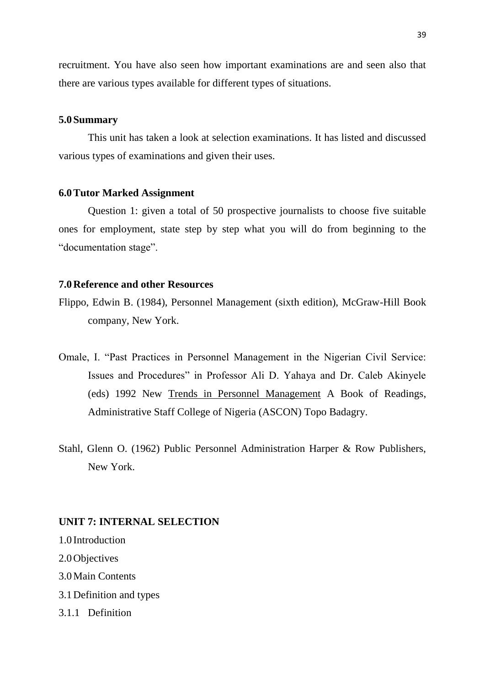recruitment. You have also seen how important examinations are and seen also that there are various types available for different types of situations.

### **5.0Summary**

This unit has taken a look at selection examinations. It has listed and discussed various types of examinations and given their uses.

## **6.0Tutor Marked Assignment**

Question 1: given a total of 50 prospective journalists to choose five suitable ones for employment, state step by step what you will do from beginning to the "documentation stage".

### **7.0Reference and other Resources**

- Flippo, Edwin B. (1984), Personnel Management (sixth edition), McGraw-Hill Book company, New York.
- Omale, I. "Past Practices in Personnel Management in the Nigerian Civil Service: Issues and Procedures" in Professor Ali D. Yahaya and Dr. Caleb Akinyele (eds) 1992 New Trends in Personnel Management A Book of Readings, Administrative Staff College of Nigeria (ASCON) Topo Badagry.
- Stahl, Glenn O. (1962) Public Personnel Administration Harper & Row Publishers, New York.

# **UNIT 7: INTERNAL SELECTION**

1.0 Introduction 2.0Objectives 3.0Main Contents 3.1Definition and types 3.1.1 Definition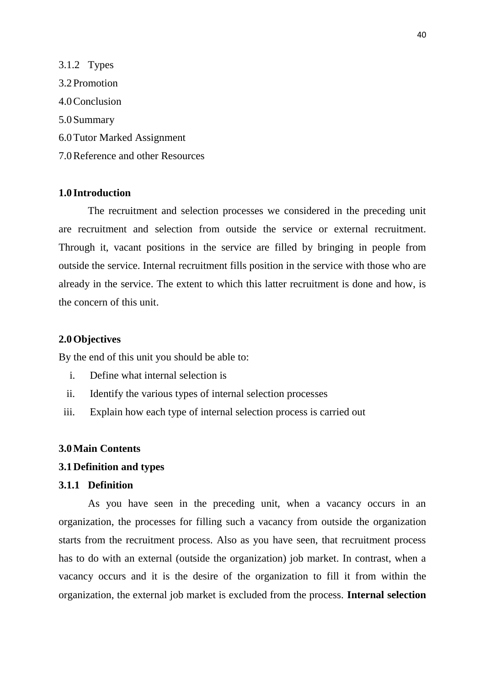3.1.2 Types 3.2Promotion 4.0Conclusion 5.0Summary 6.0Tutor Marked Assignment 7.0Reference and other Resources

# **1.0 Introduction**

The recruitment and selection processes we considered in the preceding unit are recruitment and selection from outside the service or external recruitment. Through it, vacant positions in the service are filled by bringing in people from outside the service. Internal recruitment fills position in the service with those who are already in the service. The extent to which this latter recruitment is done and how, is the concern of this unit.

### **2.0Objectives**

By the end of this unit you should be able to:

- i. Define what internal selection is
- ii. Identify the various types of internal selection processes
- iii. Explain how each type of internal selection process is carried out

### **3.0Main Contents**

### **3.1Definition and types**

### **3.1.1 Definition**

As you have seen in the preceding unit, when a vacancy occurs in an organization, the processes for filling such a vacancy from outside the organization starts from the recruitment process. Also as you have seen, that recruitment process has to do with an external (outside the organization) job market. In contrast, when a vacancy occurs and it is the desire of the organization to fill it from within the organization, the external job market is excluded from the process. **Internal selection**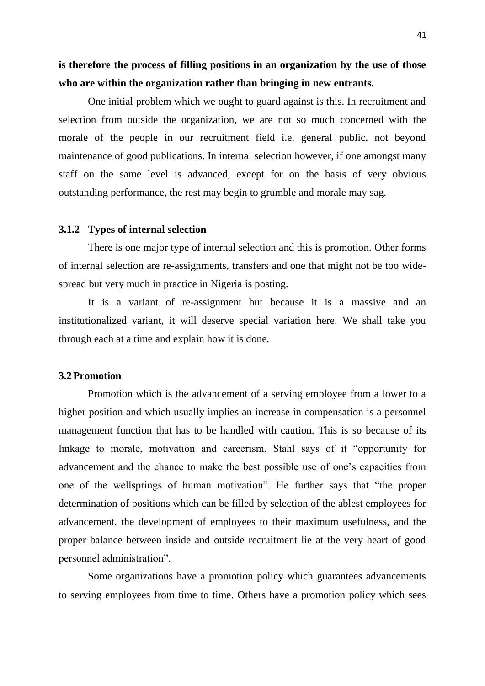**is therefore the process of filling positions in an organization by the use of those who are within the organization rather than bringing in new entrants.**

One initial problem which we ought to guard against is this. In recruitment and selection from outside the organization, we are not so much concerned with the morale of the people in our recruitment field i.e. general public, not beyond maintenance of good publications. In internal selection however, if one amongst many staff on the same level is advanced, except for on the basis of very obvious outstanding performance, the rest may begin to grumble and morale may sag.

#### **3.1.2 Types of internal selection**

There is one major type of internal selection and this is promotion. Other forms of internal selection are re-assignments, transfers and one that might not be too widespread but very much in practice in Nigeria is posting.

It is a variant of re-assignment but because it is a massive and an institutionalized variant, it will deserve special variation here. We shall take you through each at a time and explain how it is done.

### **3.2Promotion**

Promotion which is the advancement of a serving employee from a lower to a higher position and which usually implies an increase in compensation is a personnel management function that has to be handled with caution. This is so because of its linkage to morale, motivation and careerism. Stahl says of it "opportunity for advancement and the chance to make the best possible use of one"s capacities from one of the wellsprings of human motivation". He further says that "the proper determination of positions which can be filled by selection of the ablest employees for advancement, the development of employees to their maximum usefulness, and the proper balance between inside and outside recruitment lie at the very heart of good personnel administration".

Some organizations have a promotion policy which guarantees advancements to serving employees from time to time. Others have a promotion policy which sees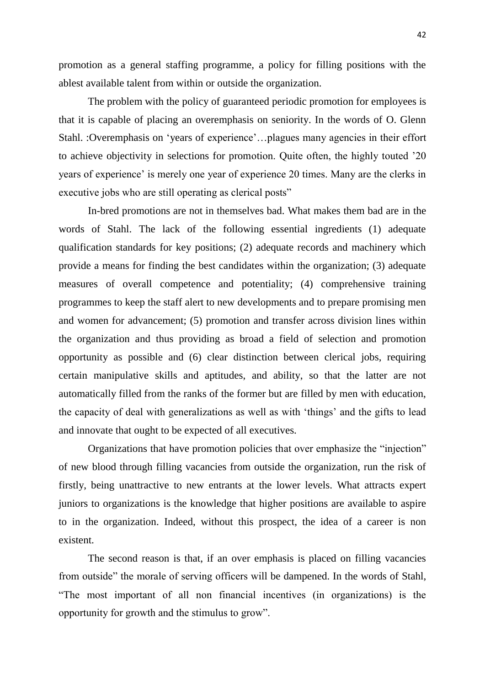promotion as a general staffing programme, a policy for filling positions with the ablest available talent from within or outside the organization.

The problem with the policy of guaranteed periodic promotion for employees is that it is capable of placing an overemphasis on seniority. In the words of O. Glenn Stahl. :Overemphasis on 'years of experience'...plagues many agencies in their effort to achieve objectivity in selections for promotion. Quite often, the highly touted "20 years of experience' is merely one year of experience 20 times. Many are the clerks in executive jobs who are still operating as clerical posts"

In-bred promotions are not in themselves bad. What makes them bad are in the words of Stahl. The lack of the following essential ingredients (1) adequate qualification standards for key positions; (2) adequate records and machinery which provide a means for finding the best candidates within the organization; (3) adequate measures of overall competence and potentiality; (4) comprehensive training programmes to keep the staff alert to new developments and to prepare promising men and women for advancement; (5) promotion and transfer across division lines within the organization and thus providing as broad a field of selection and promotion opportunity as possible and (6) clear distinction between clerical jobs, requiring certain manipulative skills and aptitudes, and ability, so that the latter are not automatically filled from the ranks of the former but are filled by men with education, the capacity of deal with generalizations as well as with "things" and the gifts to lead and innovate that ought to be expected of all executives.

Organizations that have promotion policies that over emphasize the "injection" of new blood through filling vacancies from outside the organization, run the risk of firstly, being unattractive to new entrants at the lower levels. What attracts expert juniors to organizations is the knowledge that higher positions are available to aspire to in the organization. Indeed, without this prospect, the idea of a career is non existent.

The second reason is that, if an over emphasis is placed on filling vacancies from outside" the morale of serving officers will be dampened. In the words of Stahl, "The most important of all non financial incentives (in organizations) is the opportunity for growth and the stimulus to grow".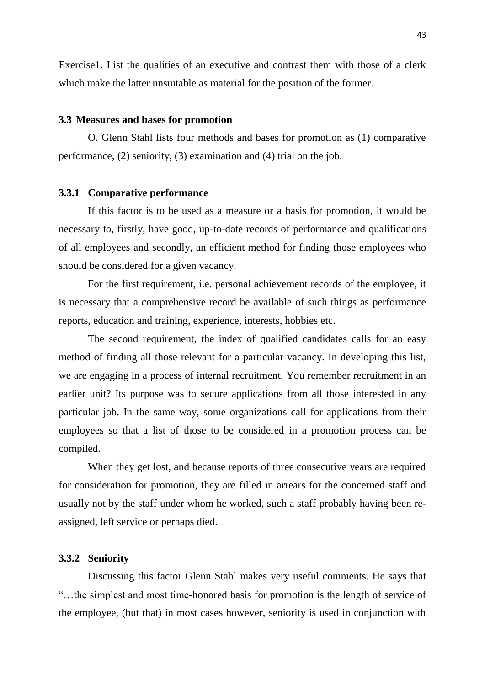Exercise1. List the qualities of an executive and contrast them with those of a clerk which make the latter unsuitable as material for the position of the former.

#### **3.3 Measures and bases for promotion**

O. Glenn Stahl lists four methods and bases for promotion as (1) comparative performance, (2) seniority, (3) examination and (4) trial on the job.

### **3.3.1 Comparative performance**

If this factor is to be used as a measure or a basis for promotion, it would be necessary to, firstly, have good, up-to-date records of performance and qualifications of all employees and secondly, an efficient method for finding those employees who should be considered for a given vacancy.

For the first requirement, i.e. personal achievement records of the employee, it is necessary that a comprehensive record be available of such things as performance reports, education and training, experience, interests, hobbies etc.

The second requirement, the index of qualified candidates calls for an easy method of finding all those relevant for a particular vacancy. In developing this list, we are engaging in a process of internal recruitment. You remember recruitment in an earlier unit? Its purpose was to secure applications from all those interested in any particular job. In the same way, some organizations call for applications from their employees so that a list of those to be considered in a promotion process can be compiled.

When they get lost, and because reports of three consecutive years are required for consideration for promotion, they are filled in arrears for the concerned staff and usually not by the staff under whom he worked, such a staff probably having been reassigned, left service or perhaps died.

### **3.3.2 Seniority**

Discussing this factor Glenn Stahl makes very useful comments. He says that "…the simplest and most time-honored basis for promotion is the length of service of the employee, (but that) in most cases however, seniority is used in conjunction with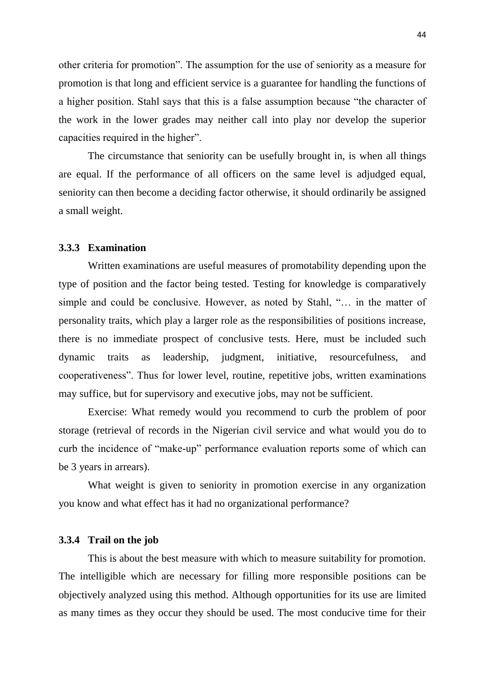other criteria for promotion". The assumption for the use of seniority as a measure for promotion is that long and efficient service is a guarantee for handling the functions of a higher position. Stahl says that this is a false assumption because "the character of the work in the lower grades may neither call into play nor develop the superior capacities required in the higher".

The circumstance that seniority can be usefully brought in, is when all things are equal. If the performance of all officers on the same level is adjudged equal, seniority can then become a deciding factor otherwise, it should ordinarily be assigned a small weight.

### **3.3.3 Examination**

Written examinations are useful measures of promotability depending upon the type of position and the factor being tested. Testing for knowledge is comparatively simple and could be conclusive. However, as noted by Stahl, "… in the matter of personality traits, which play a larger role as the responsibilities of positions increase, there is no immediate prospect of conclusive tests. Here, must be included such dynamic traits as leadership, judgment, initiative, resourcefulness, and cooperativeness". Thus for lower level, routine, repetitive jobs, written examinations may suffice, but for supervisory and executive jobs, may not be sufficient.

Exercise: What remedy would you recommend to curb the problem of poor storage (retrieval of records in the Nigerian civil service and what would you do to curb the incidence of "make-up" performance evaluation reports some of which can be 3 years in arrears).

What weight is given to seniority in promotion exercise in any organization you know and what effect has it had no organizational performance?

# **3.3.4 Trail on the job**

This is about the best measure with which to measure suitability for promotion. The intelligible which are necessary for filling more responsible positions can be objectively analyzed using this method. Although opportunities for its use are limited as many times as they occur they should be used. The most conducive time for their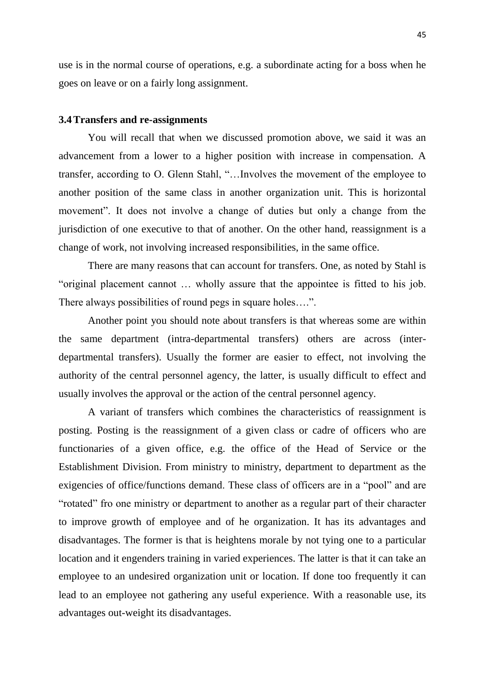use is in the normal course of operations, e.g. a subordinate acting for a boss when he goes on leave or on a fairly long assignment.

### **3.4Transfers and re-assignments**

You will recall that when we discussed promotion above, we said it was an advancement from a lower to a higher position with increase in compensation. A transfer, according to O. Glenn Stahl, "…Involves the movement of the employee to another position of the same class in another organization unit. This is horizontal movement". It does not involve a change of duties but only a change from the jurisdiction of one executive to that of another. On the other hand, reassignment is a change of work, not involving increased responsibilities, in the same office.

There are many reasons that can account for transfers. One, as noted by Stahl is "original placement cannot … wholly assure that the appointee is fitted to his job. There always possibilities of round pegs in square holes....".

Another point you should note about transfers is that whereas some are within the same department (intra-departmental transfers) others are across (interdepartmental transfers). Usually the former are easier to effect, not involving the authority of the central personnel agency, the latter, is usually difficult to effect and usually involves the approval or the action of the central personnel agency.

A variant of transfers which combines the characteristics of reassignment is posting. Posting is the reassignment of a given class or cadre of officers who are functionaries of a given office, e.g. the office of the Head of Service or the Establishment Division. From ministry to ministry, department to department as the exigencies of office/functions demand. These class of officers are in a "pool" and are "rotated" fro one ministry or department to another as a regular part of their character to improve growth of employee and of he organization. It has its advantages and disadvantages. The former is that is heightens morale by not tying one to a particular location and it engenders training in varied experiences. The latter is that it can take an employee to an undesired organization unit or location. If done too frequently it can lead to an employee not gathering any useful experience. With a reasonable use, its advantages out-weight its disadvantages.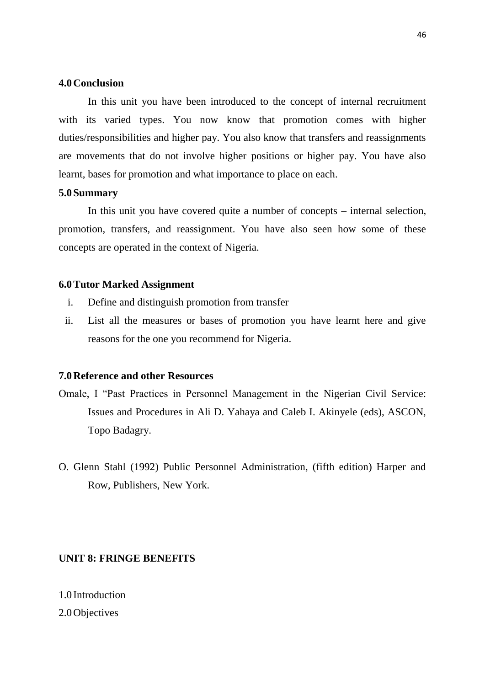### **4.0Conclusion**

In this unit you have been introduced to the concept of internal recruitment with its varied types. You now know that promotion comes with higher duties/responsibilities and higher pay. You also know that transfers and reassignments are movements that do not involve higher positions or higher pay. You have also learnt, bases for promotion and what importance to place on each.

# **5.0Summary**

In this unit you have covered quite a number of concepts – internal selection, promotion, transfers, and reassignment. You have also seen how some of these concepts are operated in the context of Nigeria.

### **6.0Tutor Marked Assignment**

- i. Define and distinguish promotion from transfer
- ii. List all the measures or bases of promotion you have learnt here and give reasons for the one you recommend for Nigeria.

## **7.0Reference and other Resources**

- Omale, I "Past Practices in Personnel Management in the Nigerian Civil Service: Issues and Procedures in Ali D. Yahaya and Caleb I. Akinyele (eds), ASCON, Topo Badagry.
- O. Glenn Stahl (1992) Public Personnel Administration, (fifth edition) Harper and Row, Publishers, New York.

# **UNIT 8: FRINGE BENEFITS**

1.0 Introduction

# 2.0Objectives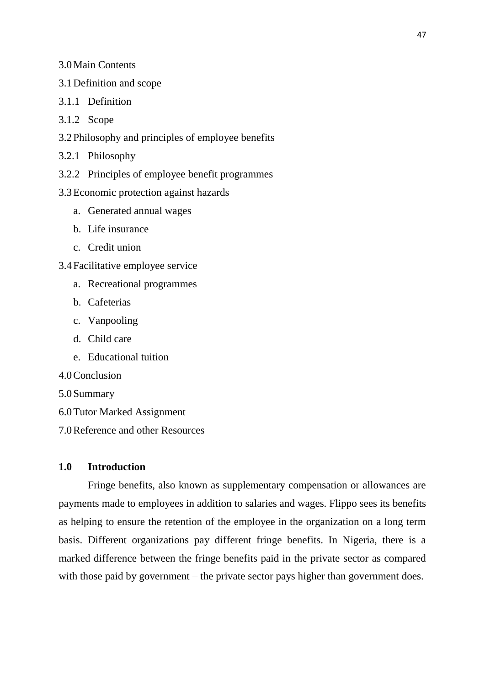### 3.0Main Contents

- 3.1Definition and scope
- 3.1.1 Definition
- 3.1.2 Scope
- 3.2Philosophy and principles of employee benefits
- 3.2.1 Philosophy
- 3.2.2 Principles of employee benefit programmes
- 3.3Economic protection against hazards
	- a. Generated annual wages
	- b. Life insurance
	- c. Credit union
- 3.4Facilitative employee service
	- a. Recreational programmes
	- b. Cafeterias
	- c. Vanpooling
	- d. Child care
	- e. Educational tuition
- 4.0Conclusion
- 5.0Summary
- 6.0Tutor Marked Assignment
- 7.0Reference and other Resources

# **1.0 Introduction**

Fringe benefits, also known as supplementary compensation or allowances are payments made to employees in addition to salaries and wages. Flippo sees its benefits as helping to ensure the retention of the employee in the organization on a long term basis. Different organizations pay different fringe benefits. In Nigeria, there is a marked difference between the fringe benefits paid in the private sector as compared with those paid by government – the private sector pays higher than government does.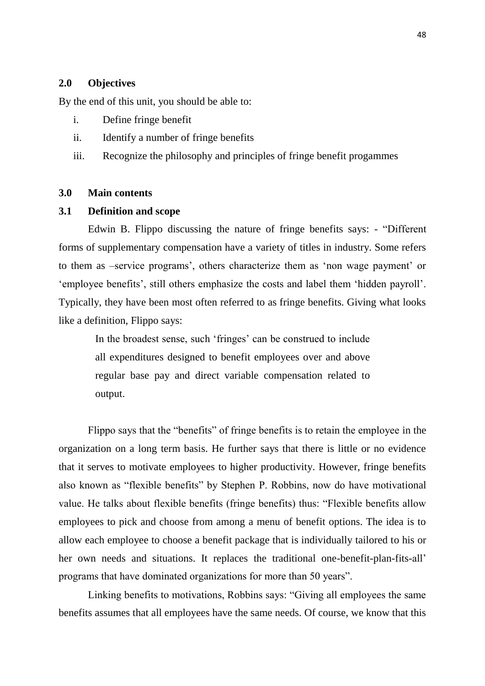### **2.0 Objectives**

By the end of this unit, you should be able to:

- i. Define fringe benefit
- ii. Identify a number of fringe benefits
- iii. Recognize the philosophy and principles of fringe benefit progammes

## **3.0 Main contents**

### **3.1 Definition and scope**

Edwin B. Flippo discussing the nature of fringe benefits says: - "Different forms of supplementary compensation have a variety of titles in industry. Some refers to them as –service programs', others characterize them as 'non wage payment' or 'employee benefits', still others emphasize the costs and label them 'hidden payroll'. Typically, they have been most often referred to as fringe benefits. Giving what looks like a definition, Flippo says:

In the broadest sense, such 'fringes' can be construed to include all expenditures designed to benefit employees over and above regular base pay and direct variable compensation related to output.

Flippo says that the "benefits" of fringe benefits is to retain the employee in the organization on a long term basis. He further says that there is little or no evidence that it serves to motivate employees to higher productivity. However, fringe benefits also known as "flexible benefits" by Stephen P. Robbins, now do have motivational value. He talks about flexible benefits (fringe benefits) thus: "Flexible benefits allow employees to pick and choose from among a menu of benefit options. The idea is to allow each employee to choose a benefit package that is individually tailored to his or her own needs and situations. It replaces the traditional one-benefit-plan-fits-all" programs that have dominated organizations for more than 50 years".

Linking benefits to motivations, Robbins says: "Giving all employees the same benefits assumes that all employees have the same needs. Of course, we know that this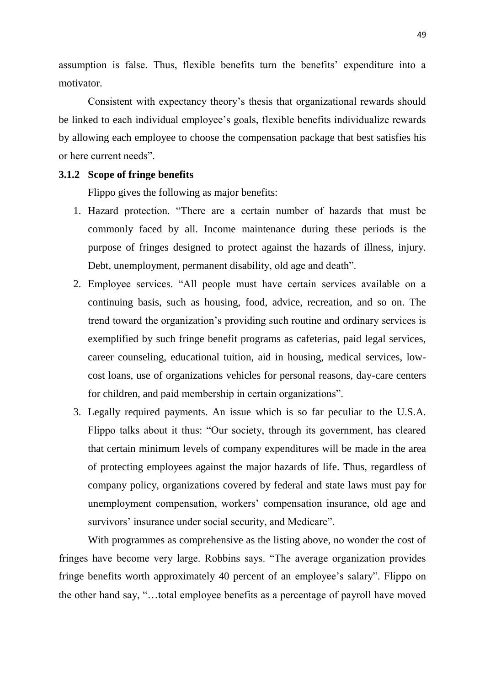assumption is false. Thus, flexible benefits turn the benefits' expenditure into a motivator.

Consistent with expectancy theory"s thesis that organizational rewards should be linked to each individual employee's goals, flexible benefits individualize rewards by allowing each employee to choose the compensation package that best satisfies his or here current needs".

# **3.1.2 Scope of fringe benefits**

Flippo gives the following as major benefits:

- 1. Hazard protection. "There are a certain number of hazards that must be commonly faced by all. Income maintenance during these periods is the purpose of fringes designed to protect against the hazards of illness, injury. Debt, unemployment, permanent disability, old age and death".
- 2. Employee services. "All people must have certain services available on a continuing basis, such as housing, food, advice, recreation, and so on. The trend toward the organization"s providing such routine and ordinary services is exemplified by such fringe benefit programs as cafeterias, paid legal services, career counseling, educational tuition, aid in housing, medical services, lowcost loans, use of organizations vehicles for personal reasons, day-care centers for children, and paid membership in certain organizations".
- 3. Legally required payments. An issue which is so far peculiar to the U.S.A. Flippo talks about it thus: "Our society, through its government, has cleared that certain minimum levels of company expenditures will be made in the area of protecting employees against the major hazards of life. Thus, regardless of company policy, organizations covered by federal and state laws must pay for unemployment compensation, workers" compensation insurance, old age and survivors' insurance under social security, and Medicare".

With programmes as comprehensive as the listing above, no wonder the cost of fringes have become very large. Robbins says. "The average organization provides fringe benefits worth approximately 40 percent of an employee"s salary". Flippo on the other hand say, "…total employee benefits as a percentage of payroll have moved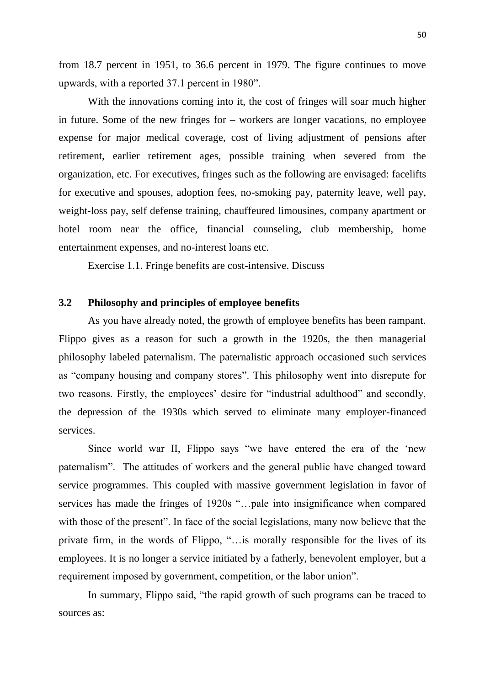from 18.7 percent in 1951, to 36.6 percent in 1979. The figure continues to move upwards, with a reported 37.1 percent in 1980".

With the innovations coming into it, the cost of fringes will soar much higher in future. Some of the new fringes for – workers are longer vacations, no employee expense for major medical coverage, cost of living adjustment of pensions after retirement, earlier retirement ages, possible training when severed from the organization, etc. For executives, fringes such as the following are envisaged: facelifts for executive and spouses, adoption fees, no-smoking pay, paternity leave, well pay, weight-loss pay, self defense training, chauffeured limousines, company apartment or hotel room near the office, financial counseling, club membership, home entertainment expenses, and no-interest loans etc.

Exercise 1.1. Fringe benefits are cost-intensive. Discuss

## **3.2 Philosophy and principles of employee benefits**

As you have already noted, the growth of employee benefits has been rampant. Flippo gives as a reason for such a growth in the 1920s, the then managerial philosophy labeled paternalism. The paternalistic approach occasioned such services as "company housing and company stores". This philosophy went into disrepute for two reasons. Firstly, the employees' desire for "industrial adulthood" and secondly, the depression of the 1930s which served to eliminate many employer-financed services.

Since world war II, Flippo says "we have entered the era of the "new paternalism". The attitudes of workers and the general public have changed toward service programmes. This coupled with massive government legislation in favor of services has made the fringes of 1920s "…pale into insignificance when compared with those of the present". In face of the social legislations, many now believe that the private firm, in the words of Flippo, "…is morally responsible for the lives of its employees. It is no longer a service initiated by a fatherly, benevolent employer, but a requirement imposed by government, competition, or the labor union".

In summary, Flippo said, "the rapid growth of such programs can be traced to sources as: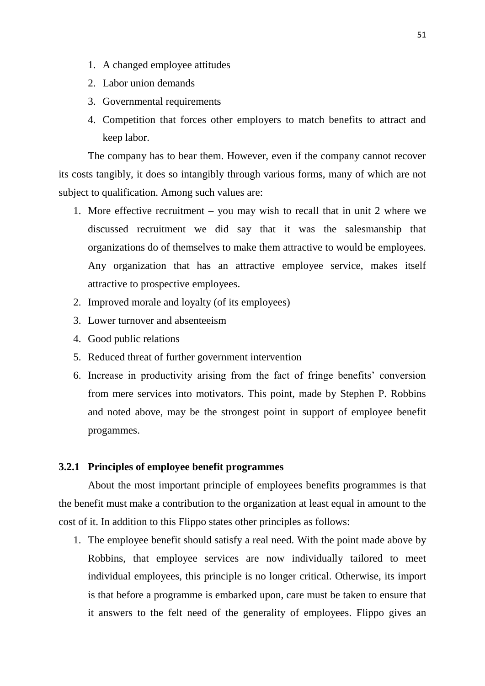- 1. A changed employee attitudes
- 2. Labor union demands
- 3. Governmental requirements
- 4. Competition that forces other employers to match benefits to attract and keep labor.

The company has to bear them. However, even if the company cannot recover its costs tangibly, it does so intangibly through various forms, many of which are not subject to qualification. Among such values are:

- 1. More effective recruitment you may wish to recall that in unit 2 where we discussed recruitment we did say that it was the salesmanship that organizations do of themselves to make them attractive to would be employees. Any organization that has an attractive employee service, makes itself attractive to prospective employees.
- 2. Improved morale and loyalty (of its employees)
- 3. Lower turnover and absenteeism
- 4. Good public relations
- 5. Reduced threat of further government intervention
- 6. Increase in productivity arising from the fact of fringe benefits" conversion from mere services into motivators. This point, made by Stephen P. Robbins and noted above, may be the strongest point in support of employee benefit progammes.

#### **3.2.1 Principles of employee benefit programmes**

About the most important principle of employees benefits programmes is that the benefit must make a contribution to the organization at least equal in amount to the cost of it. In addition to this Flippo states other principles as follows:

1. The employee benefit should satisfy a real need. With the point made above by Robbins, that employee services are now individually tailored to meet individual employees, this principle is no longer critical. Otherwise, its import is that before a programme is embarked upon, care must be taken to ensure that it answers to the felt need of the generality of employees. Flippo gives an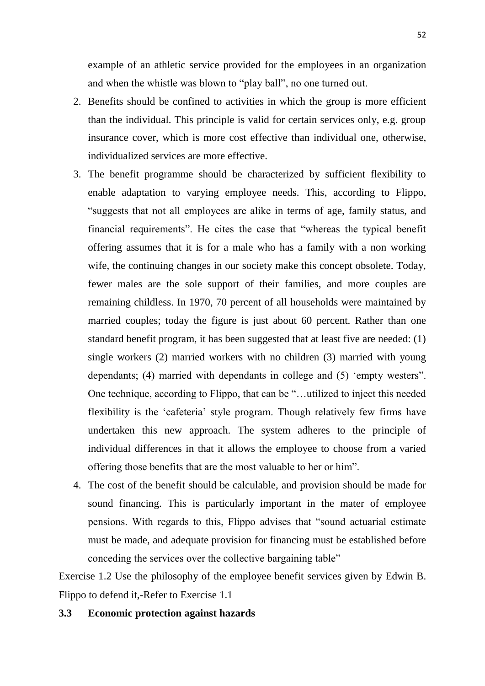example of an athletic service provided for the employees in an organization and when the whistle was blown to "play ball", no one turned out.

- 2. Benefits should be confined to activities in which the group is more efficient than the individual. This principle is valid for certain services only, e.g. group insurance cover, which is more cost effective than individual one, otherwise, individualized services are more effective.
- 3. The benefit programme should be characterized by sufficient flexibility to enable adaptation to varying employee needs. This, according to Flippo, "suggests that not all employees are alike in terms of age, family status, and financial requirements". He cites the case that "whereas the typical benefit offering assumes that it is for a male who has a family with a non working wife, the continuing changes in our society make this concept obsolete. Today, fewer males are the sole support of their families, and more couples are remaining childless. In 1970, 70 percent of all households were maintained by married couples; today the figure is just about 60 percent. Rather than one standard benefit program, it has been suggested that at least five are needed: (1) single workers (2) married workers with no children (3) married with young dependants; (4) married with dependants in college and (5) "empty westers". One technique, according to Flippo, that can be "…utilized to inject this needed flexibility is the "cafeteria" style program. Though relatively few firms have undertaken this new approach. The system adheres to the principle of individual differences in that it allows the employee to choose from a varied offering those benefits that are the most valuable to her or him".
- 4. The cost of the benefit should be calculable, and provision should be made for sound financing. This is particularly important in the mater of employee pensions. With regards to this, Flippo advises that "sound actuarial estimate must be made, and adequate provision for financing must be established before conceding the services over the collective bargaining table"

Exercise 1.2 Use the philosophy of the employee benefit services given by Edwin B. Flippo to defend it,-Refer to Exercise 1.1

### **3.3 Economic protection against hazards**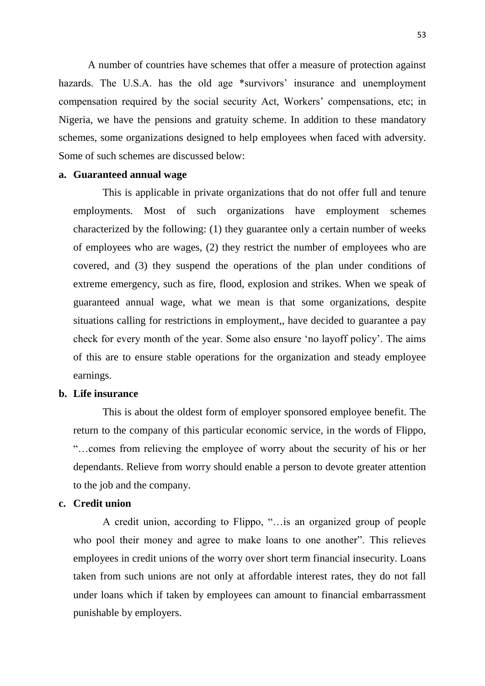A number of countries have schemes that offer a measure of protection against hazards. The U.S.A. has the old age \*survivors' insurance and unemployment compensation required by the social security Act, Workers' compensations, etc; in Nigeria, we have the pensions and gratuity scheme. In addition to these mandatory schemes, some organizations designed to help employees when faced with adversity. Some of such schemes are discussed below:

## **a. Guaranteed annual wage**

This is applicable in private organizations that do not offer full and tenure employments. Most of such organizations have employment schemes characterized by the following: (1) they guarantee only a certain number of weeks of employees who are wages, (2) they restrict the number of employees who are covered, and (3) they suspend the operations of the plan under conditions of extreme emergency, such as fire, flood, explosion and strikes. When we speak of guaranteed annual wage, what we mean is that some organizations, despite situations calling for restrictions in employment,, have decided to guarantee a pay check for every month of the year. Some also ensure "no layoff policy". The aims of this are to ensure stable operations for the organization and steady employee earnings.

### **b. Life insurance**

This is about the oldest form of employer sponsored employee benefit. The return to the company of this particular economic service, in the words of Flippo, "…comes from relieving the employee of worry about the security of his or her dependants. Relieve from worry should enable a person to devote greater attention to the job and the company.

# **c. Credit union**

A credit union, according to Flippo, "…is an organized group of people who pool their money and agree to make loans to one another". This relieves employees in credit unions of the worry over short term financial insecurity. Loans taken from such unions are not only at affordable interest rates, they do not fall under loans which if taken by employees can amount to financial embarrassment punishable by employers.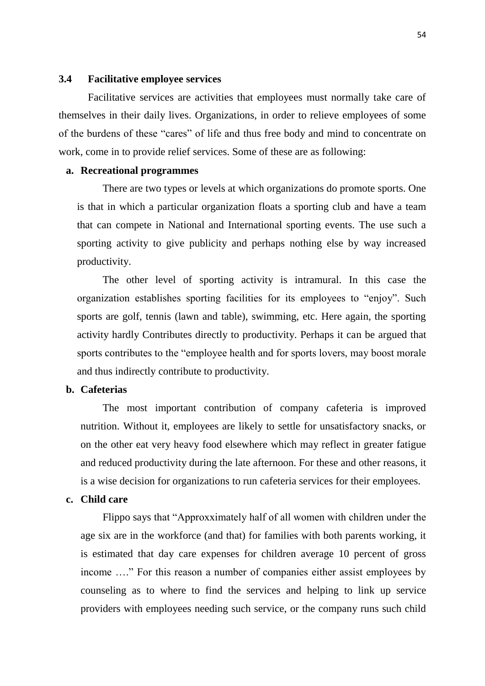#### **3.4 Facilitative employee services**

Facilitative services are activities that employees must normally take care of themselves in their daily lives. Organizations, in order to relieve employees of some of the burdens of these "cares" of life and thus free body and mind to concentrate on work, come in to provide relief services. Some of these are as following:

### **a. Recreational programmes**

There are two types or levels at which organizations do promote sports. One is that in which a particular organization floats a sporting club and have a team that can compete in National and International sporting events. The use such a sporting activity to give publicity and perhaps nothing else by way increased productivity.

The other level of sporting activity is intramural. In this case the organization establishes sporting facilities for its employees to "enjoy". Such sports are golf, tennis (lawn and table), swimming, etc. Here again, the sporting activity hardly Contributes directly to productivity. Perhaps it can be argued that sports contributes to the "employee health and for sports lovers, may boost morale and thus indirectly contribute to productivity.

# **b. Cafeterias**

The most important contribution of company cafeteria is improved nutrition. Without it, employees are likely to settle for unsatisfactory snacks, or on the other eat very heavy food elsewhere which may reflect in greater fatigue and reduced productivity during the late afternoon. For these and other reasons, it is a wise decision for organizations to run cafeteria services for their employees.

### **c. Child care**

Flippo says that "Approxximately half of all women with children under the age six are in the workforce (and that) for families with both parents working, it is estimated that day care expenses for children average 10 percent of gross income …." For this reason a number of companies either assist employees by counseling as to where to find the services and helping to link up service providers with employees needing such service, or the company runs such child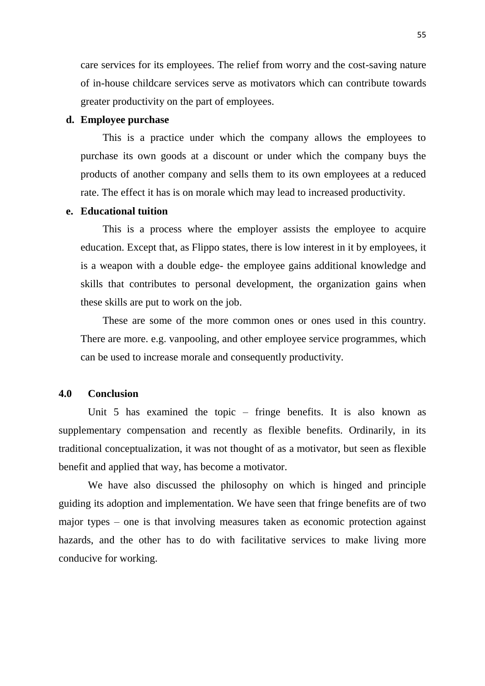care services for its employees. The relief from worry and the cost-saving nature of in-house childcare services serve as motivators which can contribute towards greater productivity on the part of employees.

### **d. Employee purchase**

This is a practice under which the company allows the employees to purchase its own goods at a discount or under which the company buys the products of another company and sells them to its own employees at a reduced rate. The effect it has is on morale which may lead to increased productivity.

# **e. Educational tuition**

This is a process where the employer assists the employee to acquire education. Except that, as Flippo states, there is low interest in it by employees, it is a weapon with a double edge- the employee gains additional knowledge and skills that contributes to personal development, the organization gains when these skills are put to work on the job.

These are some of the more common ones or ones used in this country. There are more. e.g. vanpooling, and other employee service programmes, which can be used to increase morale and consequently productivity.

### **4.0 Conclusion**

Unit 5 has examined the topic – fringe benefits. It is also known as supplementary compensation and recently as flexible benefits. Ordinarily, in its traditional conceptualization, it was not thought of as a motivator, but seen as flexible benefit and applied that way, has become a motivator.

We have also discussed the philosophy on which is hinged and principle guiding its adoption and implementation. We have seen that fringe benefits are of two major types – one is that involving measures taken as economic protection against hazards, and the other has to do with facilitative services to make living more conducive for working.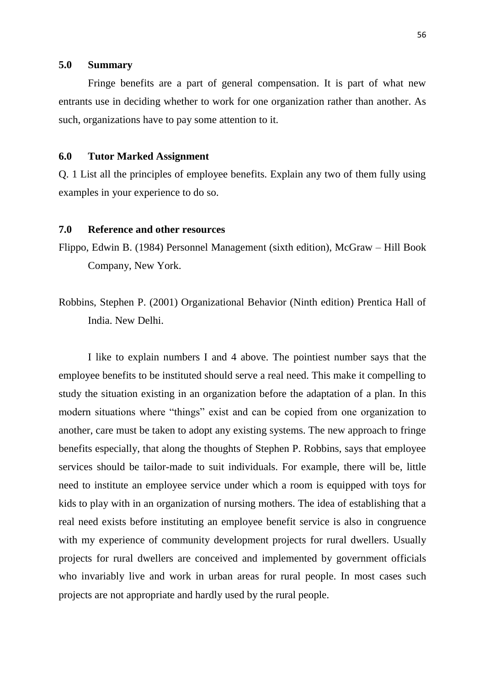## **5.0 Summary**

Fringe benefits are a part of general compensation. It is part of what new entrants use in deciding whether to work for one organization rather than another. As such, organizations have to pay some attention to it.

# **6.0 Tutor Marked Assignment**

Q. 1 List all the principles of employee benefits. Explain any two of them fully using examples in your experience to do so.

# **7.0 Reference and other resources**

- Flippo, Edwin B. (1984) Personnel Management (sixth edition), McGraw Hill Book Company, New York.
- Robbins, Stephen P. (2001) Organizational Behavior (Ninth edition) Prentica Hall of India. New Delhi.

I like to explain numbers I and 4 above. The pointiest number says that the employee benefits to be instituted should serve a real need. This make it compelling to study the situation existing in an organization before the adaptation of a plan. In this modern situations where "things" exist and can be copied from one organization to another, care must be taken to adopt any existing systems. The new approach to fringe benefits especially, that along the thoughts of Stephen P. Robbins, says that employee services should be tailor-made to suit individuals. For example, there will be, little need to institute an employee service under which a room is equipped with toys for kids to play with in an organization of nursing mothers. The idea of establishing that a real need exists before instituting an employee benefit service is also in congruence with my experience of community development projects for rural dwellers. Usually projects for rural dwellers are conceived and implemented by government officials who invariably live and work in urban areas for rural people. In most cases such projects are not appropriate and hardly used by the rural people.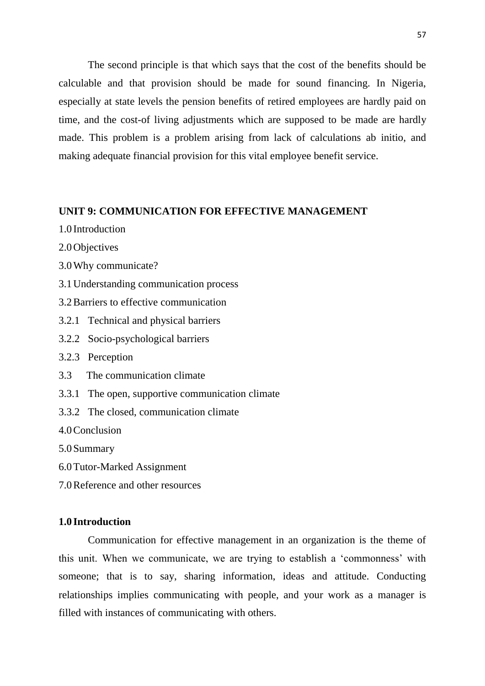The second principle is that which says that the cost of the benefits should be calculable and that provision should be made for sound financing. In Nigeria, especially at state levels the pension benefits of retired employees are hardly paid on time, and the cost-of living adjustments which are supposed to be made are hardly made. This problem is a problem arising from lack of calculations ab initio, and making adequate financial provision for this vital employee benefit service.

# **UNIT 9: COMMUNICATION FOR EFFECTIVE MANAGEMENT**

- 1.0 Introduction
- 2.0Objectives
- 3.0Why communicate?
- 3.1Understanding communication process
- 3.2Barriers to effective communication
- 3.2.1 Technical and physical barriers
- 3.2.2 Socio-psychological barriers
- 3.2.3 Perception
- 3.3 The communication climate
- 3.3.1 The open, supportive communication climate
- 3.3.2 The closed, communication climate
- 4.0Conclusion

5.0Summary

- 6.0Tutor-Marked Assignment
- 7.0Reference and other resources

## **1.0 Introduction**

Communication for effective management in an organization is the theme of this unit. When we communicate, we are trying to establish a "commonness" with someone; that is to say, sharing information, ideas and attitude. Conducting relationships implies communicating with people, and your work as a manager is filled with instances of communicating with others.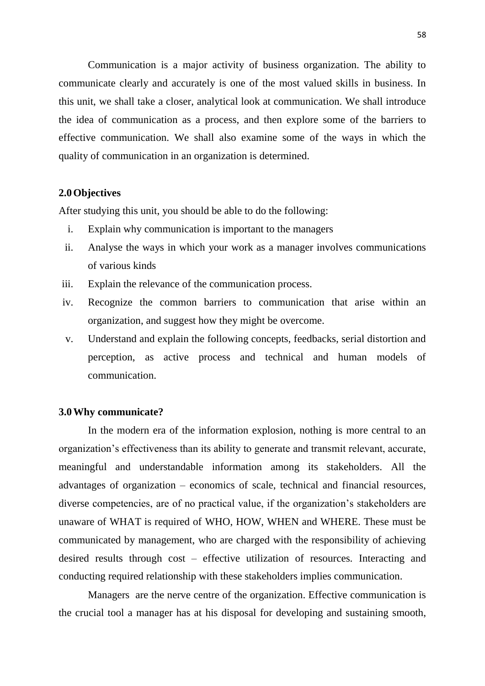Communication is a major activity of business organization. The ability to communicate clearly and accurately is one of the most valued skills in business. In this unit, we shall take a closer, analytical look at communication. We shall introduce the idea of communication as a process, and then explore some of the barriers to effective communication. We shall also examine some of the ways in which the quality of communication in an organization is determined.

# **2.0Objectives**

After studying this unit, you should be able to do the following:

- i. Explain why communication is important to the managers
- ii. Analyse the ways in which your work as a manager involves communications of various kinds
- iii. Explain the relevance of the communication process.
- iv. Recognize the common barriers to communication that arise within an organization, and suggest how they might be overcome.
- v. Understand and explain the following concepts, feedbacks, serial distortion and perception, as active process and technical and human models of communication.

### **3.0Why communicate?**

In the modern era of the information explosion, nothing is more central to an organization"s effectiveness than its ability to generate and transmit relevant, accurate, meaningful and understandable information among its stakeholders. All the advantages of organization – economics of scale, technical and financial resources, diverse competencies, are of no practical value, if the organization's stakeholders are unaware of WHAT is required of WHO, HOW, WHEN and WHERE. These must be communicated by management, who are charged with the responsibility of achieving desired results through cost – effective utilization of resources. Interacting and conducting required relationship with these stakeholders implies communication.

Managers are the nerve centre of the organization. Effective communication is the crucial tool a manager has at his disposal for developing and sustaining smooth,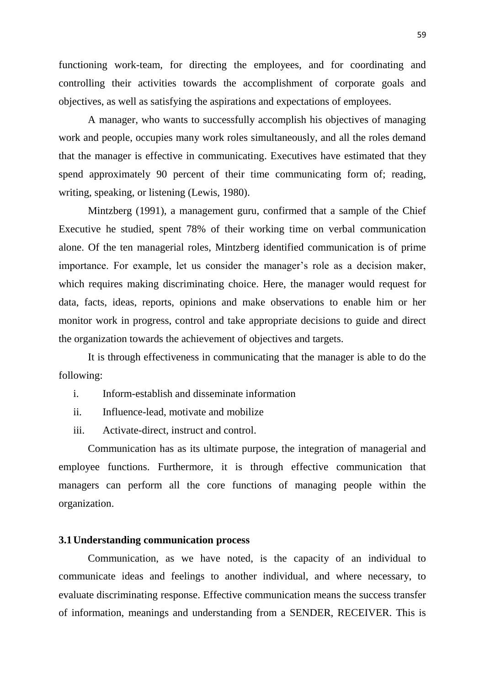functioning work-team, for directing the employees, and for coordinating and controlling their activities towards the accomplishment of corporate goals and objectives, as well as satisfying the aspirations and expectations of employees.

A manager, who wants to successfully accomplish his objectives of managing work and people, occupies many work roles simultaneously, and all the roles demand that the manager is effective in communicating. Executives have estimated that they spend approximately 90 percent of their time communicating form of; reading, writing, speaking, or listening (Lewis, 1980).

Mintzberg (1991), a management guru, confirmed that a sample of the Chief Executive he studied, spent 78% of their working time on verbal communication alone. Of the ten managerial roles, Mintzberg identified communication is of prime importance. For example, let us consider the manager's role as a decision maker, which requires making discriminating choice. Here, the manager would request for data, facts, ideas, reports, opinions and make observations to enable him or her monitor work in progress, control and take appropriate decisions to guide and direct the organization towards the achievement of objectives and targets.

It is through effectiveness in communicating that the manager is able to do the following:

- i. Inform-establish and disseminate information
- ii. Influence-lead, motivate and mobilize
- iii. Activate-direct, instruct and control.

Communication has as its ultimate purpose, the integration of managerial and employee functions. Furthermore, it is through effective communication that managers can perform all the core functions of managing people within the organization.

# **3.1Understanding communication process**

Communication, as we have noted, is the capacity of an individual to communicate ideas and feelings to another individual, and where necessary, to evaluate discriminating response. Effective communication means the success transfer of information, meanings and understanding from a SENDER, RECEIVER. This is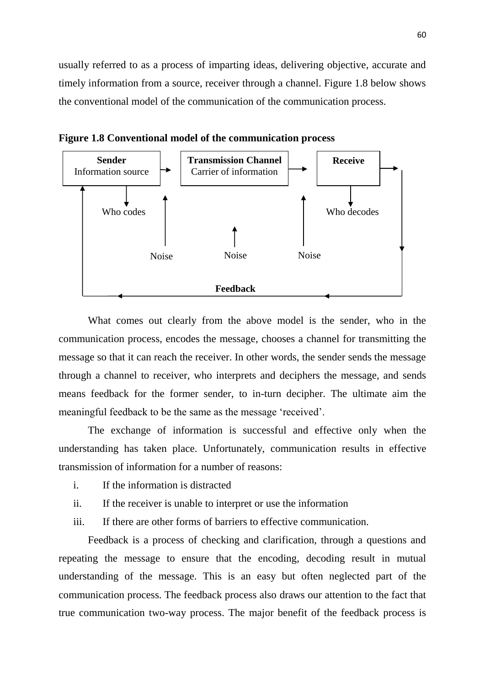usually referred to as a process of imparting ideas, delivering objective, accurate and timely information from a source, receiver through a channel. Figure 1.8 below shows the conventional model of the communication of the communication process.



**Figure 1.8 Conventional model of the communication process** 

What comes out clearly from the above model is the sender, who in the communication process, encodes the message, chooses a channel for transmitting the message so that it can reach the receiver. In other words, the sender sends the message through a channel to receiver, who interprets and deciphers the message, and sends means feedback for the former sender, to in-turn decipher. The ultimate aim the meaningful feedback to be the same as the message "received".

The exchange of information is successful and effective only when the understanding has taken place. Unfortunately, communication results in effective transmission of information for a number of reasons:

- i. If the information is distracted
- ii. If the receiver is unable to interpret or use the information
- iii. If there are other forms of barriers to effective communication.

Feedback is a process of checking and clarification, through a questions and repeating the message to ensure that the encoding, decoding result in mutual understanding of the message. This is an easy but often neglected part of the communication process. The feedback process also draws our attention to the fact that true communication two-way process. The major benefit of the feedback process is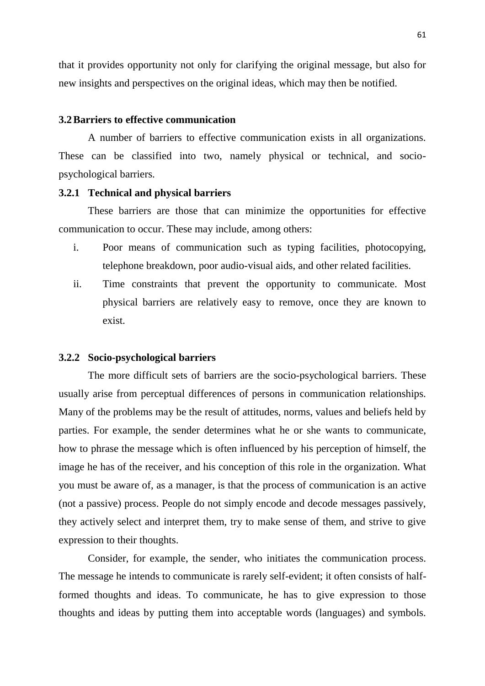that it provides opportunity not only for clarifying the original message, but also for new insights and perspectives on the original ideas, which may then be notified.

#### **3.2Barriers to effective communication**

A number of barriers to effective communication exists in all organizations. These can be classified into two, namely physical or technical, and sociopsychological barriers.

## **3.2.1 Technical and physical barriers**

These barriers are those that can minimize the opportunities for effective communication to occur. These may include, among others:

- i. Poor means of communication such as typing facilities, photocopying, telephone breakdown, poor audio-visual aids, and other related facilities.
- ii. Time constraints that prevent the opportunity to communicate. Most physical barriers are relatively easy to remove, once they are known to exist.

#### **3.2.2 Socio-psychological barriers**

The more difficult sets of barriers are the socio-psychological barriers. These usually arise from perceptual differences of persons in communication relationships. Many of the problems may be the result of attitudes, norms, values and beliefs held by parties. For example, the sender determines what he or she wants to communicate, how to phrase the message which is often influenced by his perception of himself, the image he has of the receiver, and his conception of this role in the organization. What you must be aware of, as a manager, is that the process of communication is an active (not a passive) process. People do not simply encode and decode messages passively, they actively select and interpret them, try to make sense of them, and strive to give expression to their thoughts.

Consider, for example, the sender, who initiates the communication process. The message he intends to communicate is rarely self-evident; it often consists of halfformed thoughts and ideas. To communicate, he has to give expression to those thoughts and ideas by putting them into acceptable words (languages) and symbols.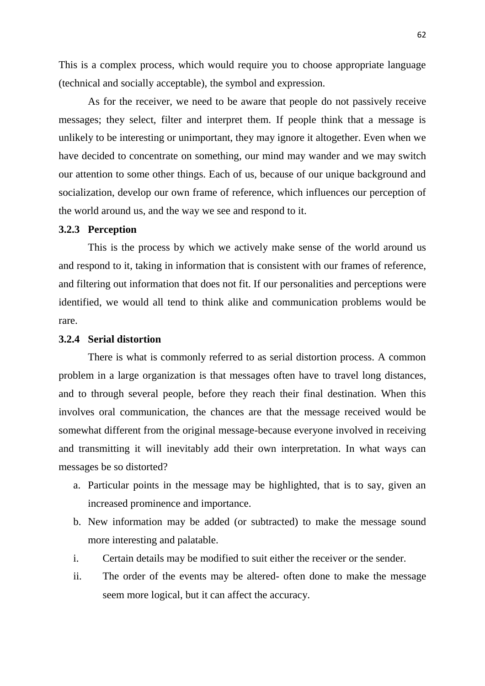This is a complex process, which would require you to choose appropriate language (technical and socially acceptable), the symbol and expression.

As for the receiver, we need to be aware that people do not passively receive messages; they select, filter and interpret them. If people think that a message is unlikely to be interesting or unimportant, they may ignore it altogether. Even when we have decided to concentrate on something, our mind may wander and we may switch our attention to some other things. Each of us, because of our unique background and socialization, develop our own frame of reference, which influences our perception of the world around us, and the way we see and respond to it.

### **3.2.3 Perception**

This is the process by which we actively make sense of the world around us and respond to it, taking in information that is consistent with our frames of reference, and filtering out information that does not fit. If our personalities and perceptions were identified, we would all tend to think alike and communication problems would be rare.

### **3.2.4 Serial distortion**

There is what is commonly referred to as serial distortion process. A common problem in a large organization is that messages often have to travel long distances, and to through several people, before they reach their final destination. When this involves oral communication, the chances are that the message received would be somewhat different from the original message-because everyone involved in receiving and transmitting it will inevitably add their own interpretation. In what ways can messages be so distorted?

- a. Particular points in the message may be highlighted, that is to say, given an increased prominence and importance.
- b. New information may be added (or subtracted) to make the message sound more interesting and palatable.
- i. Certain details may be modified to suit either the receiver or the sender.
- ii. The order of the events may be altered- often done to make the message seem more logical, but it can affect the accuracy.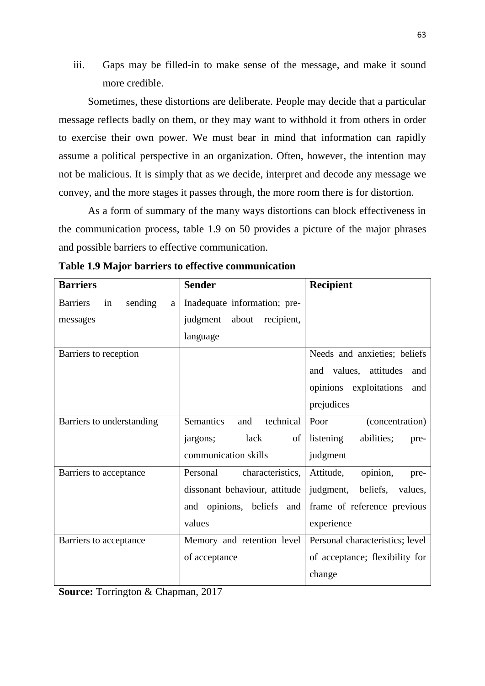iii. Gaps may be filled-in to make sense of the message, and make it sound more credible.

Sometimes, these distortions are deliberate. People may decide that a particular message reflects badly on them, or they may want to withhold it from others in order to exercise their own power. We must bear in mind that information can rapidly assume a political perspective in an organization. Often, however, the intention may not be malicious. It is simply that as we decide, interpret and decode any message we convey, and the more stages it passes through, the more room there is for distortion.

As a form of summary of the many ways distortions can block effectiveness in the communication process, table 1.9 on 50 provides a picture of the major phrases and possible barriers to effective communication.

| <b>Barriers</b>                       | <b>Sender</b>                        | <b>Recipient</b>                |
|---------------------------------------|--------------------------------------|---------------------------------|
| <b>Barriers</b><br>sending<br>in<br>a | Inadequate information; pre-         |                                 |
| messages                              | judgment about<br>recipient,         |                                 |
|                                       | language                             |                                 |
| Barriers to reception                 |                                      | Needs and anxieties; beliefs    |
|                                       |                                      | and values, attitudes<br>and    |
|                                       |                                      | opinions exploitations<br>and   |
|                                       |                                      | prejudices                      |
| Barriers to understanding             | technical<br><b>Semantics</b><br>and | Poor<br>(concentration)         |
|                                       | lack<br>jargons;<br>of               | listening<br>abilities;<br>pre- |
|                                       | communication skills                 | judgment                        |
| Barriers to acceptance                | Personal<br>characteristics,         | opinion,<br>Attitude,<br>pre-   |
|                                       | dissonant behaviour, attitude        | judgment, beliefs, values,      |
|                                       | and opinions, beliefs and            | frame of reference previous     |
|                                       | values                               | experience                      |
| Barriers to acceptance                | Memory and retention level           | Personal characteristics; level |
|                                       | of acceptance                        | of acceptance; flexibility for  |
|                                       |                                      | change                          |

|  |  |  |  |  |  | Table 1.9 Major barriers to effective communication |
|--|--|--|--|--|--|-----------------------------------------------------|
|--|--|--|--|--|--|-----------------------------------------------------|

**Source:** Torrington & Chapman, 2017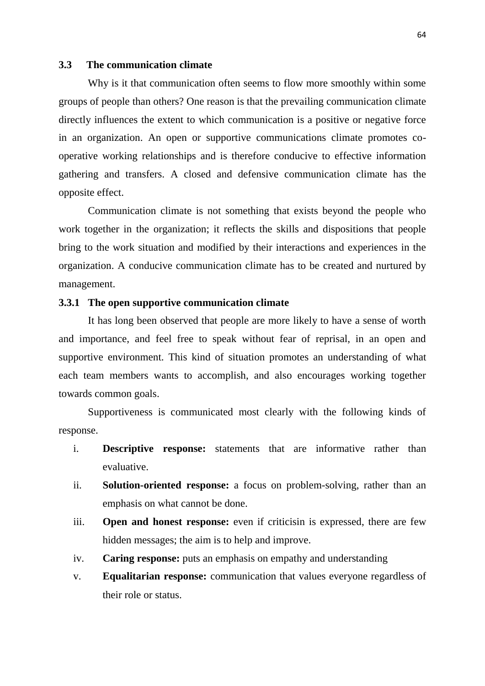### **3.3 The communication climate**

Why is it that communication often seems to flow more smoothly within some groups of people than others? One reason is that the prevailing communication climate directly influences the extent to which communication is a positive or negative force in an organization. An open or supportive communications climate promotes cooperative working relationships and is therefore conducive to effective information gathering and transfers. A closed and defensive communication climate has the opposite effect.

Communication climate is not something that exists beyond the people who work together in the organization; it reflects the skills and dispositions that people bring to the work situation and modified by their interactions and experiences in the organization. A conducive communication climate has to be created and nurtured by management.

### **3.3.1 The open supportive communication climate**

It has long been observed that people are more likely to have a sense of worth and importance, and feel free to speak without fear of reprisal, in an open and supportive environment. This kind of situation promotes an understanding of what each team members wants to accomplish, and also encourages working together towards common goals.

Supportiveness is communicated most clearly with the following kinds of response.

- i. **Descriptive response:** statements that are informative rather than evaluative.
- ii. **Solution-oriented response:** a focus on problem-solving, rather than an emphasis on what cannot be done.
- iii. **Open and honest response:** even if criticisin is expressed, there are few hidden messages; the aim is to help and improve.
- iv. **Caring response:** puts an emphasis on empathy and understanding
- v. **Equalitarian response:** communication that values everyone regardless of their role or status.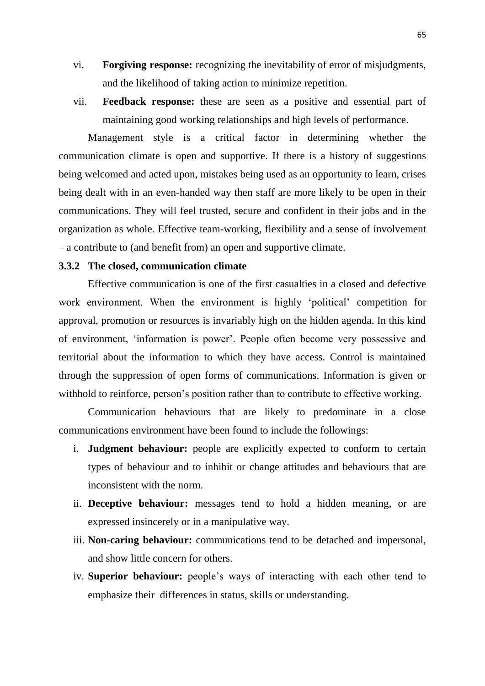- vi. **Forgiving response:** recognizing the inevitability of error of misjudgments, and the likelihood of taking action to minimize repetition.
- vii. **Feedback response:** these are seen as a positive and essential part of maintaining good working relationships and high levels of performance.

Management style is a critical factor in determining whether the communication climate is open and supportive. If there is a history of suggestions being welcomed and acted upon, mistakes being used as an opportunity to learn, crises being dealt with in an even-handed way then staff are more likely to be open in their communications. They will feel trusted, secure and confident in their jobs and in the organization as whole. Effective team-working, flexibility and a sense of involvement – a contribute to (and benefit from) an open and supportive climate.

### **3.3.2 The closed, communication climate**

Effective communication is one of the first casualties in a closed and defective work environment. When the environment is highly "political" competition for approval, promotion or resources is invariably high on the hidden agenda. In this kind of environment, "information is power". People often become very possessive and territorial about the information to which they have access. Control is maintained through the suppression of open forms of communications. Information is given or withhold to reinforce, person's position rather than to contribute to effective working.

Communication behaviours that are likely to predominate in a close communications environment have been found to include the followings:

- i. **Judgment behaviour:** people are explicitly expected to conform to certain types of behaviour and to inhibit or change attitudes and behaviours that are inconsistent with the norm.
- ii. **Deceptive behaviour:** messages tend to hold a hidden meaning, or are expressed insincerely or in a manipulative way.
- iii. **Non-caring behaviour:** communications tend to be detached and impersonal, and show little concern for others.
- iv. **Superior behaviour:** people"s ways of interacting with each other tend to emphasize their differences in status, skills or understanding.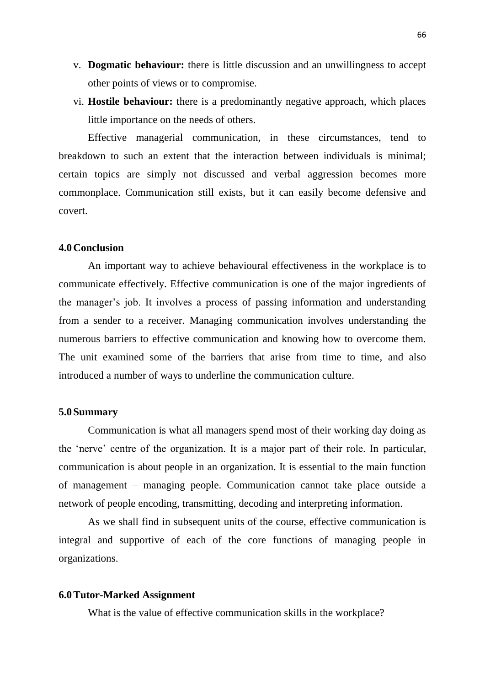- v. **Dogmatic behaviour:** there is little discussion and an unwillingness to accept other points of views or to compromise.
- vi. **Hostile behaviour:** there is a predominantly negative approach, which places little importance on the needs of others.

Effective managerial communication, in these circumstances, tend to breakdown to such an extent that the interaction between individuals is minimal; certain topics are simply not discussed and verbal aggression becomes more commonplace. Communication still exists, but it can easily become defensive and covert.

#### **4.0Conclusion**

An important way to achieve behavioural effectiveness in the workplace is to communicate effectively. Effective communication is one of the major ingredients of the manager"s job. It involves a process of passing information and understanding from a sender to a receiver. Managing communication involves understanding the numerous barriers to effective communication and knowing how to overcome them. The unit examined some of the barriers that arise from time to time, and also introduced a number of ways to underline the communication culture.

#### **5.0Summary**

Communication is what all managers spend most of their working day doing as the "nerve" centre of the organization. It is a major part of their role. In particular, communication is about people in an organization. It is essential to the main function of management – managing people. Communication cannot take place outside a network of people encoding, transmitting, decoding and interpreting information.

As we shall find in subsequent units of the course, effective communication is integral and supportive of each of the core functions of managing people in organizations.

#### **6.0Tutor-Marked Assignment**

What is the value of effective communication skills in the workplace?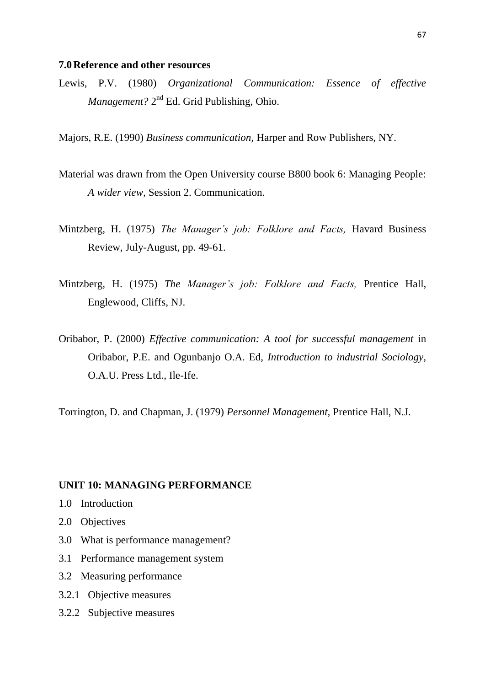#### **7.0Reference and other resources**

Lewis, P.V. (1980) *Organizational Communication: Essence of effective*  Management? 2<sup>nd</sup> Ed. Grid Publishing, Ohio.

Majors, R.E. (1990) *Business communication,* Harper and Row Publishers, NY.

- Material was drawn from the Open University course B800 book 6: Managing People: *A wider view,* Session 2. Communication.
- Mintzberg, H. (1975) *The Manager's job: Folklore and Facts,* Havard Business Review, July-August, pp. 49-61.
- Mintzberg, H. (1975) *The Manager's job: Folklore and Facts,* Prentice Hall, Englewood, Cliffs, NJ.
- Oribabor, P. (2000) *Effective communication: A tool for successful management* in Oribabor, P.E. and Ogunbanjo O.A. Ed, *Introduction to industrial Sociology,*  O.A.U. Press Ltd., Ile-Ife.

Torrington, D. and Chapman, J. (1979) *Personnel Management,* Prentice Hall, N.J.

### **UNIT 10: MANAGING PERFORMANCE**

- 1.0 Introduction
- 2.0 Objectives
- 3.0 What is performance management?
- 3.1 Performance management system
- 3.2 Measuring performance
- 3.2.1 Objective measures
- 3.2.2 Subjective measures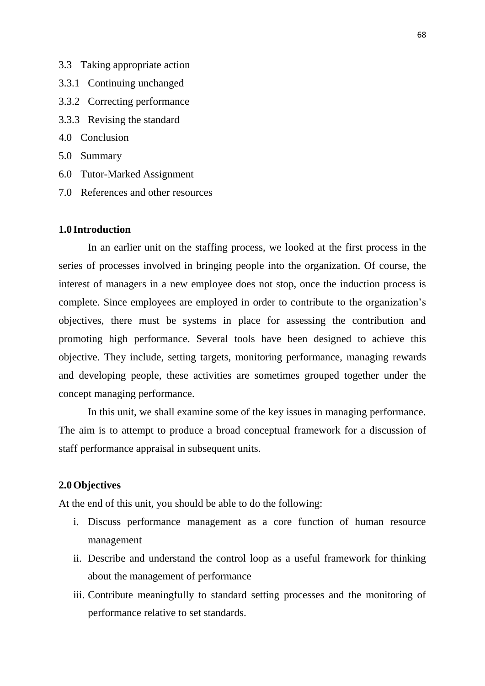- 3.3 Taking appropriate action
- 3.3.1 Continuing unchanged
- 3.3.2 Correcting performance
- 3.3.3 Revising the standard
- 4.0 Conclusion
- 5.0 Summary
- 6.0 Tutor-Marked Assignment
- 7.0 References and other resources

## **1.0 Introduction**

In an earlier unit on the staffing process, we looked at the first process in the series of processes involved in bringing people into the organization. Of course, the interest of managers in a new employee does not stop, once the induction process is complete. Since employees are employed in order to contribute to the organization"s objectives, there must be systems in place for assessing the contribution and promoting high performance. Several tools have been designed to achieve this objective. They include, setting targets, monitoring performance, managing rewards and developing people, these activities are sometimes grouped together under the concept managing performance.

In this unit, we shall examine some of the key issues in managing performance. The aim is to attempt to produce a broad conceptual framework for a discussion of staff performance appraisal in subsequent units.

### **2.0Objectives**

At the end of this unit, you should be able to do the following:

- i. Discuss performance management as a core function of human resource management
- ii. Describe and understand the control loop as a useful framework for thinking about the management of performance
- iii. Contribute meaningfully to standard setting processes and the monitoring of performance relative to set standards.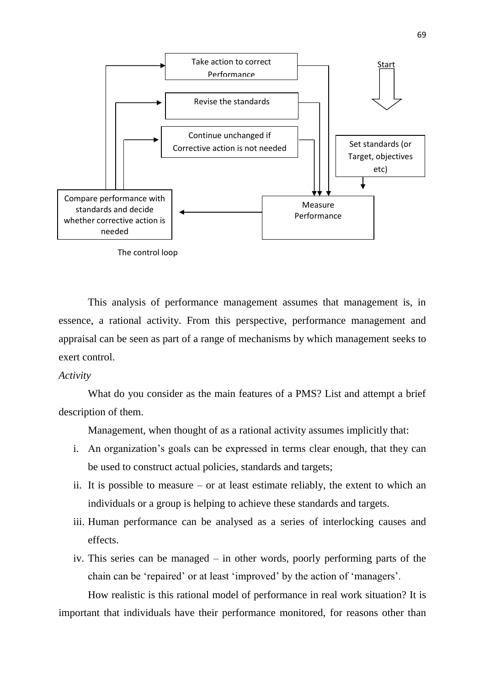



This analysis of performance management assumes that management is, in essence, a rational activity. From this perspective, performance management and appraisal can be seen as part of a range of mechanisms by which management seeks to exert control.

#### *Activity*

What do you consider as the main features of a PMS? List and attempt a brief description of them.

Management, when thought of as a rational activity assumes implicitly that:

- i. An organization's goals can be expressed in terms clear enough, that they can be used to construct actual policies, standards and targets;
- ii. It is possible to measure or at least estimate reliably, the extent to which an individuals or a group is helping to achieve these standards and targets.
- iii. Human performance can be analysed as a series of interlocking causes and effects.
- iv. This series can be managed in other words, poorly performing parts of the chain can be "repaired" or at least "improved" by the action of "managers".

How realistic is this rational model of performance in real work situation? It is important that individuals have their performance monitored, for reasons other than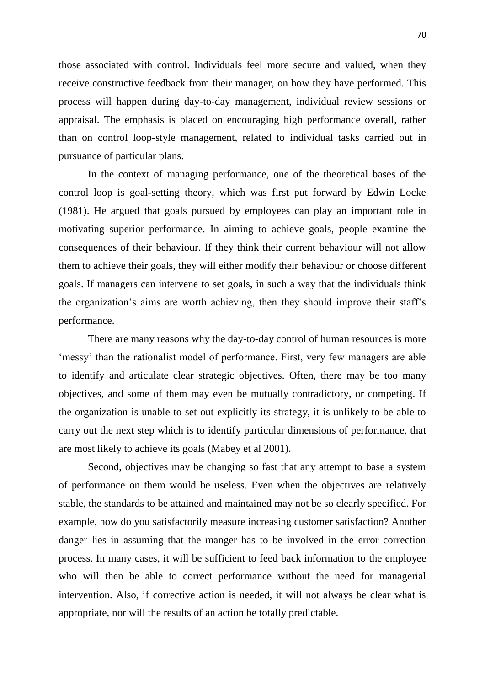those associated with control. Individuals feel more secure and valued, when they receive constructive feedback from their manager, on how they have performed. This process will happen during day-to-day management, individual review sessions or appraisal. The emphasis is placed on encouraging high performance overall, rather than on control loop-style management, related to individual tasks carried out in pursuance of particular plans.

In the context of managing performance, one of the theoretical bases of the control loop is goal-setting theory, which was first put forward by Edwin Locke (1981). He argued that goals pursued by employees can play an important role in motivating superior performance. In aiming to achieve goals, people examine the consequences of their behaviour. If they think their current behaviour will not allow them to achieve their goals, they will either modify their behaviour or choose different goals. If managers can intervene to set goals, in such a way that the individuals think the organization"s aims are worth achieving, then they should improve their staff"s performance.

There are many reasons why the day-to-day control of human resources is more 'messy' than the rationalist model of performance. First, very few managers are able to identify and articulate clear strategic objectives. Often, there may be too many objectives, and some of them may even be mutually contradictory, or competing. If the organization is unable to set out explicitly its strategy, it is unlikely to be able to carry out the next step which is to identify particular dimensions of performance, that are most likely to achieve its goals (Mabey et al 2001).

Second, objectives may be changing so fast that any attempt to base a system of performance on them would be useless. Even when the objectives are relatively stable, the standards to be attained and maintained may not be so clearly specified. For example, how do you satisfactorily measure increasing customer satisfaction? Another danger lies in assuming that the manger has to be involved in the error correction process. In many cases, it will be sufficient to feed back information to the employee who will then be able to correct performance without the need for managerial intervention. Also, if corrective action is needed, it will not always be clear what is appropriate, nor will the results of an action be totally predictable.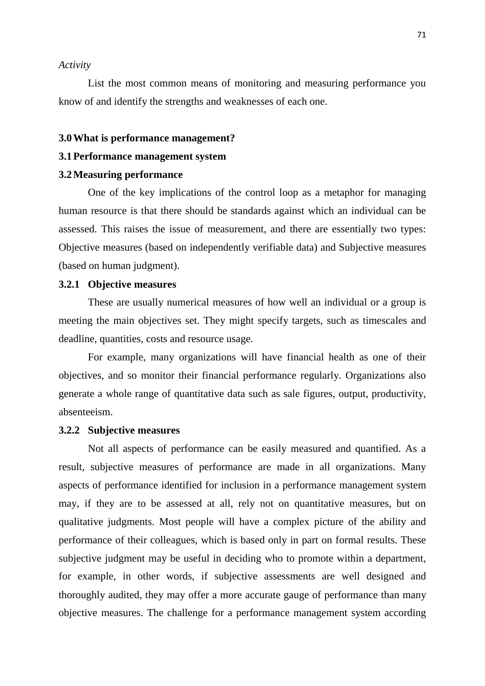#### *Activity*

List the most common means of monitoring and measuring performance you know of and identify the strengths and weaknesses of each one.

#### **3.0What is performance management?**

# **3.1Performance management system**

# **3.2Measuring performance**

One of the key implications of the control loop as a metaphor for managing human resource is that there should be standards against which an individual can be assessed. This raises the issue of measurement, and there are essentially two types: Objective measures (based on independently verifiable data) and Subjective measures (based on human judgment).

### **3.2.1 Objective measures**

These are usually numerical measures of how well an individual or a group is meeting the main objectives set. They might specify targets, such as timescales and deadline, quantities, costs and resource usage.

For example, many organizations will have financial health as one of their objectives, and so monitor their financial performance regularly. Organizations also generate a whole range of quantitative data such as sale figures, output, productivity, absenteeism.

#### **3.2.2 Subjective measures**

Not all aspects of performance can be easily measured and quantified. As a result, subjective measures of performance are made in all organizations. Many aspects of performance identified for inclusion in a performance management system may, if they are to be assessed at all, rely not on quantitative measures, but on qualitative judgments. Most people will have a complex picture of the ability and performance of their colleagues, which is based only in part on formal results. These subjective judgment may be useful in deciding who to promote within a department, for example, in other words, if subjective assessments are well designed and thoroughly audited, they may offer a more accurate gauge of performance than many objective measures. The challenge for a performance management system according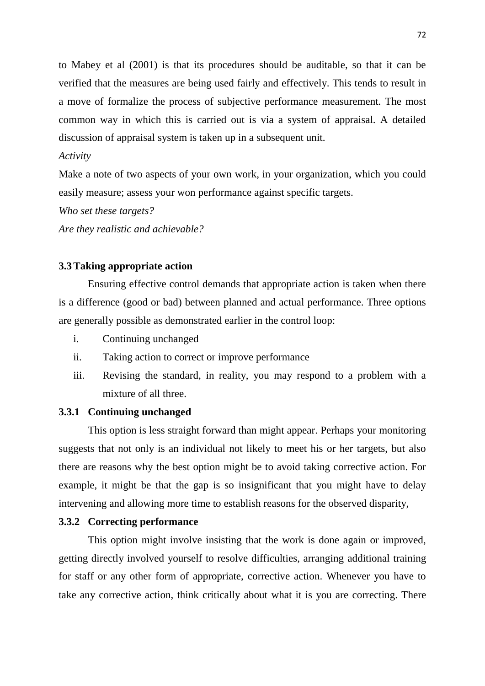to Mabey et al (2001) is that its procedures should be auditable, so that it can be verified that the measures are being used fairly and effectively. This tends to result in a move of formalize the process of subjective performance measurement. The most common way in which this is carried out is via a system of appraisal. A detailed discussion of appraisal system is taken up in a subsequent unit.

# *Activity*

Make a note of two aspects of your own work, in your organization, which you could easily measure; assess your won performance against specific targets.

*Who set these targets?*

*Are they realistic and achievable?*

# **3.3Taking appropriate action**

Ensuring effective control demands that appropriate action is taken when there is a difference (good or bad) between planned and actual performance. Three options are generally possible as demonstrated earlier in the control loop:

- i. Continuing unchanged
- ii. Taking action to correct or improve performance
- iii. Revising the standard, in reality, you may respond to a problem with a mixture of all three.

### **3.3.1 Continuing unchanged**

This option is less straight forward than might appear. Perhaps your monitoring suggests that not only is an individual not likely to meet his or her targets, but also there are reasons why the best option might be to avoid taking corrective action. For example, it might be that the gap is so insignificant that you might have to delay intervening and allowing more time to establish reasons for the observed disparity,

# **3.3.2 Correcting performance**

This option might involve insisting that the work is done again or improved, getting directly involved yourself to resolve difficulties, arranging additional training for staff or any other form of appropriate, corrective action. Whenever you have to take any corrective action, think critically about what it is you are correcting. There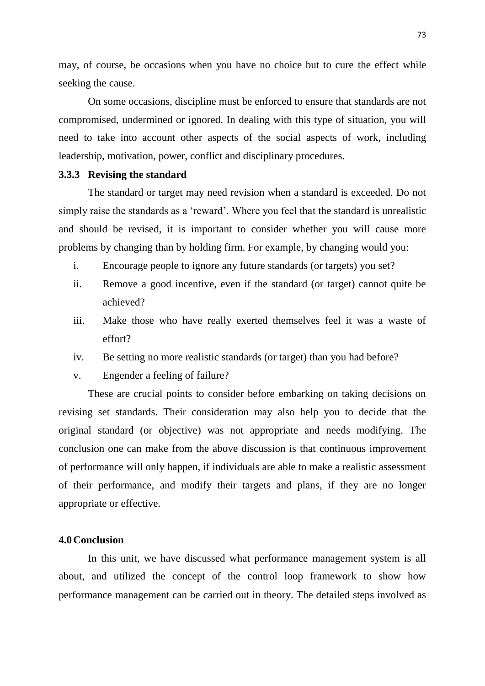may, of course, be occasions when you have no choice but to cure the effect while seeking the cause.

On some occasions, discipline must be enforced to ensure that standards are not compromised, undermined or ignored. In dealing with this type of situation, you will need to take into account other aspects of the social aspects of work, including leadership, motivation, power, conflict and disciplinary procedures.

# **3.3.3 Revising the standard**

The standard or target may need revision when a standard is exceeded. Do not simply raise the standards as a "reward". Where you feel that the standard is unrealistic and should be revised, it is important to consider whether you will cause more problems by changing than by holding firm. For example, by changing would you:

- i. Encourage people to ignore any future standards (or targets) you set?
- ii. Remove a good incentive, even if the standard (or target) cannot quite be achieved?
- iii. Make those who have really exerted themselves feel it was a waste of effort?
- iv. Be setting no more realistic standards (or target) than you had before?
- v. Engender a feeling of failure?

These are crucial points to consider before embarking on taking decisions on revising set standards. Their consideration may also help you to decide that the original standard (or objective) was not appropriate and needs modifying. The conclusion one can make from the above discussion is that continuous improvement of performance will only happen, if individuals are able to make a realistic assessment of their performance, and modify their targets and plans, if they are no longer appropriate or effective.

### **4.0Conclusion**

In this unit, we have discussed what performance management system is all about, and utilized the concept of the control loop framework to show how performance management can be carried out in theory. The detailed steps involved as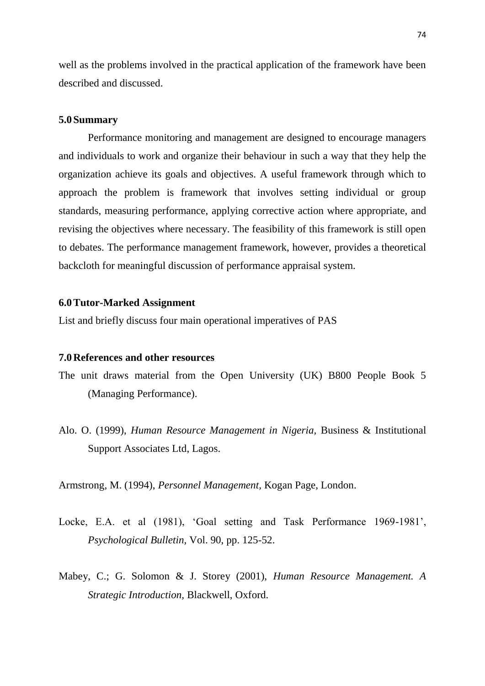well as the problems involved in the practical application of the framework have been described and discussed.

#### **5.0Summary**

Performance monitoring and management are designed to encourage managers and individuals to work and organize their behaviour in such a way that they help the organization achieve its goals and objectives. A useful framework through which to approach the problem is framework that involves setting individual or group standards, measuring performance, applying corrective action where appropriate, and revising the objectives where necessary. The feasibility of this framework is still open to debates. The performance management framework, however, provides a theoretical backcloth for meaningful discussion of performance appraisal system.

### **6.0Tutor-Marked Assignment**

List and briefly discuss four main operational imperatives of PAS

### **7.0References and other resources**

- The unit draws material from the Open University (UK) B800 People Book 5 (Managing Performance).
- Alo. O. (1999), *Human Resource Management in Nigeria,* Business & Institutional Support Associates Ltd, Lagos.

Armstrong, M. (1994), *Personnel Management,* Kogan Page, London.

- Locke, E.A. et al (1981), 'Goal setting and Task Performance 1969-1981', *Psychological Bulletin,* Vol. 90, pp. 125-52.
- Mabey, C.; G. Solomon & J. Storey (2001), *Human Resource Management. A Strategic Introduction,* Blackwell, Oxford.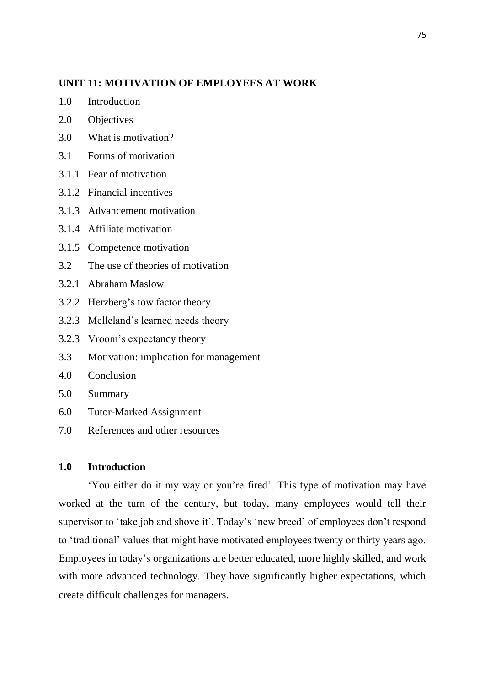### **UNIT 11: MOTIVATION OF EMPLOYEES AT WORK**

- 1.0 Introduction
- 2.0 Objectives
- 3.0 What is motivation?
- 3.1 Forms of motivation
- 3.1.1 Fear of motivation
- 3.1.2 Financial incentives
- 3.1.3 Advancement motivation
- 3.1.4 Affiliate motivation
- 3.1.5 Competence motivation
- 3.2 The use of theories of motivation
- 3.2.1 Abraham Maslow
- 3.2.2 Herzberg"s tow factor theory
- 3.2.3 Mclleland"s learned needs theory
- 3.2.3 Vroom"s expectancy theory
- 3.3 Motivation: implication for management
- 4.0 Conclusion
- 5.0 Summary
- 6.0 Tutor-Marked Assignment
- 7.0 References and other resources

### **1.0 Introduction**

"You either do it my way or you"re fired". This type of motivation may have worked at the turn of the century, but today, many employees would tell their supervisor to 'take job and shove it'. Today's 'new breed' of employees don't respond to "traditional" values that might have motivated employees twenty or thirty years ago. Employees in today"s organizations are better educated, more highly skilled, and work with more advanced technology. They have significantly higher expectations, which create difficult challenges for managers.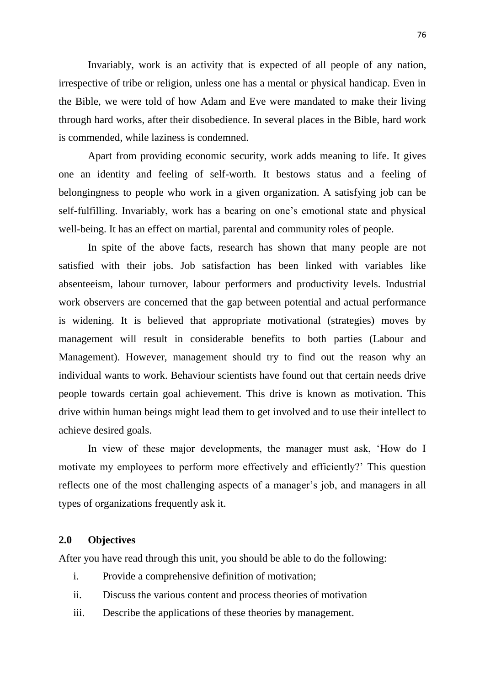Invariably, work is an activity that is expected of all people of any nation, irrespective of tribe or religion, unless one has a mental or physical handicap. Even in the Bible, we were told of how Adam and Eve were mandated to make their living through hard works, after their disobedience. In several places in the Bible, hard work is commended, while laziness is condemned.

Apart from providing economic security, work adds meaning to life. It gives one an identity and feeling of self-worth. It bestows status and a feeling of belongingness to people who work in a given organization. A satisfying job can be self-fulfilling. Invariably, work has a bearing on one"s emotional state and physical well-being. It has an effect on martial, parental and community roles of people.

In spite of the above facts, research has shown that many people are not satisfied with their jobs. Job satisfaction has been linked with variables like absenteeism, labour turnover, labour performers and productivity levels. Industrial work observers are concerned that the gap between potential and actual performance is widening. It is believed that appropriate motivational (strategies) moves by management will result in considerable benefits to both parties (Labour and Management). However, management should try to find out the reason why an individual wants to work. Behaviour scientists have found out that certain needs drive people towards certain goal achievement. This drive is known as motivation. This drive within human beings might lead them to get involved and to use their intellect to achieve desired goals.

In view of these major developments, the manager must ask, "How do I motivate my employees to perform more effectively and efficiently?" This question reflects one of the most challenging aspects of a manager's job, and managers in all types of organizations frequently ask it.

#### **2.0 Objectives**

After you have read through this unit, you should be able to do the following:

- i. Provide a comprehensive definition of motivation;
- ii. Discuss the various content and process theories of motivation
- iii. Describe the applications of these theories by management.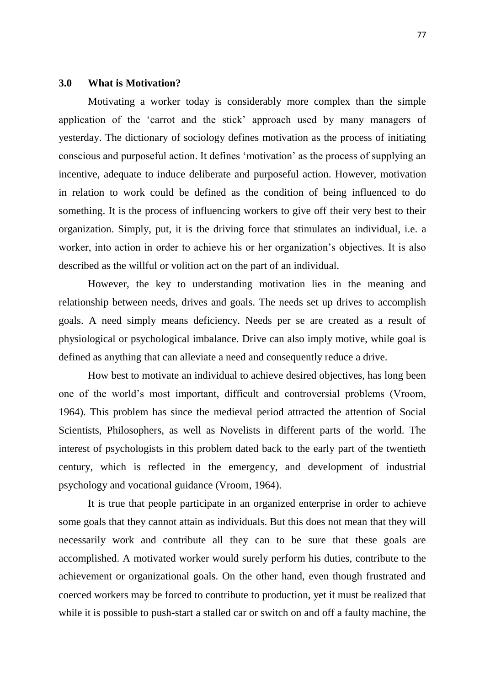#### **3.0 What is Motivation?**

Motivating a worker today is considerably more complex than the simple application of the "carrot and the stick" approach used by many managers of yesterday. The dictionary of sociology defines motivation as the process of initiating conscious and purposeful action. It defines "motivation" as the process of supplying an incentive, adequate to induce deliberate and purposeful action. However, motivation in relation to work could be defined as the condition of being influenced to do something. It is the process of influencing workers to give off their very best to their organization. Simply, put, it is the driving force that stimulates an individual, i.e. a worker, into action in order to achieve his or her organization's objectives. It is also described as the willful or volition act on the part of an individual.

However, the key to understanding motivation lies in the meaning and relationship between needs, drives and goals. The needs set up drives to accomplish goals. A need simply means deficiency. Needs per se are created as a result of physiological or psychological imbalance. Drive can also imply motive, while goal is defined as anything that can alleviate a need and consequently reduce a drive.

How best to motivate an individual to achieve desired objectives, has long been one of the world"s most important, difficult and controversial problems (Vroom, 1964). This problem has since the medieval period attracted the attention of Social Scientists, Philosophers, as well as Novelists in different parts of the world. The interest of psychologists in this problem dated back to the early part of the twentieth century, which is reflected in the emergency, and development of industrial psychology and vocational guidance (Vroom, 1964).

It is true that people participate in an organized enterprise in order to achieve some goals that they cannot attain as individuals. But this does not mean that they will necessarily work and contribute all they can to be sure that these goals are accomplished. A motivated worker would surely perform his duties, contribute to the achievement or organizational goals. On the other hand, even though frustrated and coerced workers may be forced to contribute to production, yet it must be realized that while it is possible to push-start a stalled car or switch on and off a faulty machine, the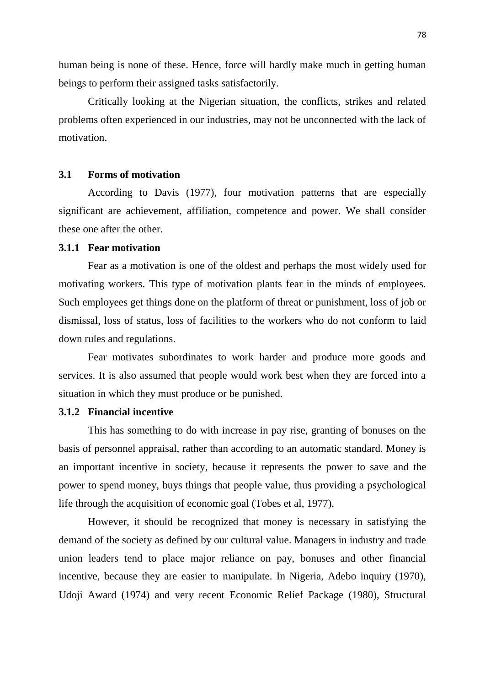human being is none of these. Hence, force will hardly make much in getting human beings to perform their assigned tasks satisfactorily.

Critically looking at the Nigerian situation, the conflicts, strikes and related problems often experienced in our industries, may not be unconnected with the lack of motivation.

# **3.1 Forms of motivation**

According to Davis (1977), four motivation patterns that are especially significant are achievement, affiliation, competence and power. We shall consider these one after the other.

# **3.1.1 Fear motivation**

Fear as a motivation is one of the oldest and perhaps the most widely used for motivating workers. This type of motivation plants fear in the minds of employees. Such employees get things done on the platform of threat or punishment, loss of job or dismissal, loss of status, loss of facilities to the workers who do not conform to laid down rules and regulations.

Fear motivates subordinates to work harder and produce more goods and services. It is also assumed that people would work best when they are forced into a situation in which they must produce or be punished.

### **3.1.2 Financial incentive**

This has something to do with increase in pay rise, granting of bonuses on the basis of personnel appraisal, rather than according to an automatic standard. Money is an important incentive in society, because it represents the power to save and the power to spend money, buys things that people value, thus providing a psychological life through the acquisition of economic goal (Tobes et al, 1977).

However, it should be recognized that money is necessary in satisfying the demand of the society as defined by our cultural value. Managers in industry and trade union leaders tend to place major reliance on pay, bonuses and other financial incentive, because they are easier to manipulate. In Nigeria, Adebo inquiry (1970), Udoji Award (1974) and very recent Economic Relief Package (1980), Structural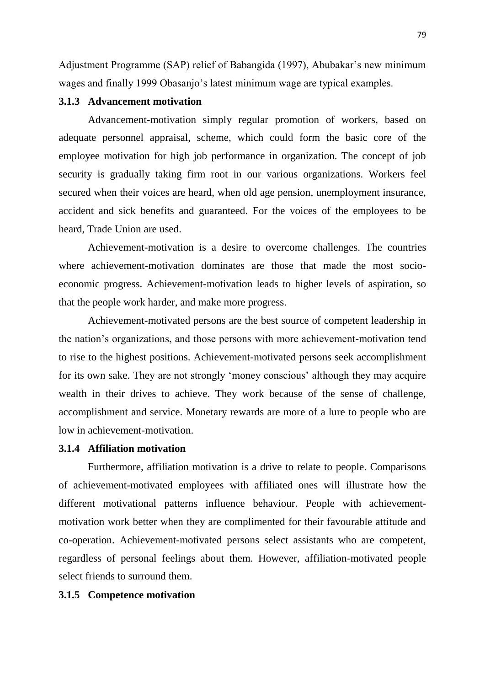Adjustment Programme (SAP) relief of Babangida (1997), Abubakar"s new minimum wages and finally 1999 Obasanjo's latest minimum wage are typical examples.

## **3.1.3 Advancement motivation**

Advancement-motivation simply regular promotion of workers, based on adequate personnel appraisal, scheme, which could form the basic core of the employee motivation for high job performance in organization. The concept of job security is gradually taking firm root in our various organizations. Workers feel secured when their voices are heard, when old age pension, unemployment insurance, accident and sick benefits and guaranteed. For the voices of the employees to be heard, Trade Union are used.

Achievement-motivation is a desire to overcome challenges. The countries where achievement-motivation dominates are those that made the most socioeconomic progress. Achievement-motivation leads to higher levels of aspiration, so that the people work harder, and make more progress.

Achievement-motivated persons are the best source of competent leadership in the nation"s organizations, and those persons with more achievement-motivation tend to rise to the highest positions. Achievement-motivated persons seek accomplishment for its own sake. They are not strongly 'money conscious' although they may acquire wealth in their drives to achieve. They work because of the sense of challenge, accomplishment and service. Monetary rewards are more of a lure to people who are low in achievement-motivation.

# **3.1.4 Affiliation motivation**

Furthermore, affiliation motivation is a drive to relate to people. Comparisons of achievement-motivated employees with affiliated ones will illustrate how the different motivational patterns influence behaviour. People with achievementmotivation work better when they are complimented for their favourable attitude and co-operation. Achievement-motivated persons select assistants who are competent, regardless of personal feelings about them. However, affiliation-motivated people select friends to surround them.

### **3.1.5 Competence motivation**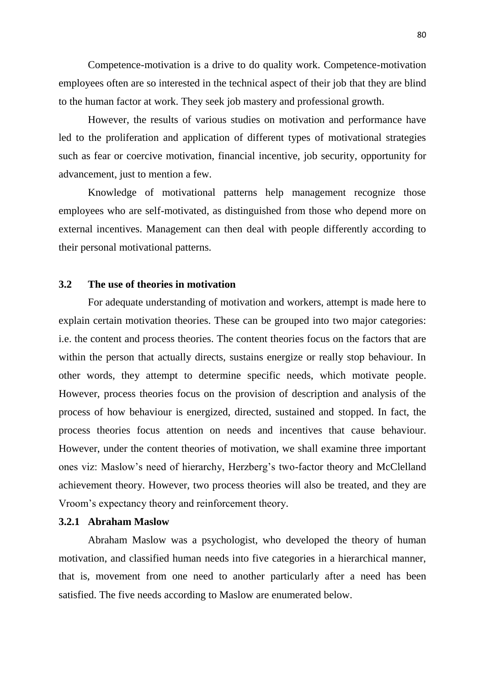Competence-motivation is a drive to do quality work. Competence-motivation employees often are so interested in the technical aspect of their job that they are blind to the human factor at work. They seek job mastery and professional growth.

However, the results of various studies on motivation and performance have led to the proliferation and application of different types of motivational strategies such as fear or coercive motivation, financial incentive, job security, opportunity for advancement, just to mention a few.

Knowledge of motivational patterns help management recognize those employees who are self-motivated, as distinguished from those who depend more on external incentives. Management can then deal with people differently according to their personal motivational patterns.

## **3.2 The use of theories in motivation**

For adequate understanding of motivation and workers, attempt is made here to explain certain motivation theories. These can be grouped into two major categories: i.e. the content and process theories. The content theories focus on the factors that are within the person that actually directs, sustains energize or really stop behaviour. In other words, they attempt to determine specific needs, which motivate people. However, process theories focus on the provision of description and analysis of the process of how behaviour is energized, directed, sustained and stopped. In fact, the process theories focus attention on needs and incentives that cause behaviour. However, under the content theories of motivation, we shall examine three important ones viz: Maslow"s need of hierarchy, Herzberg"s two-factor theory and McClelland achievement theory. However, two process theories will also be treated, and they are Vroom"s expectancy theory and reinforcement theory.

### **3.2.1 Abraham Maslow**

Abraham Maslow was a psychologist, who developed the theory of human motivation, and classified human needs into five categories in a hierarchical manner, that is, movement from one need to another particularly after a need has been satisfied. The five needs according to Maslow are enumerated below.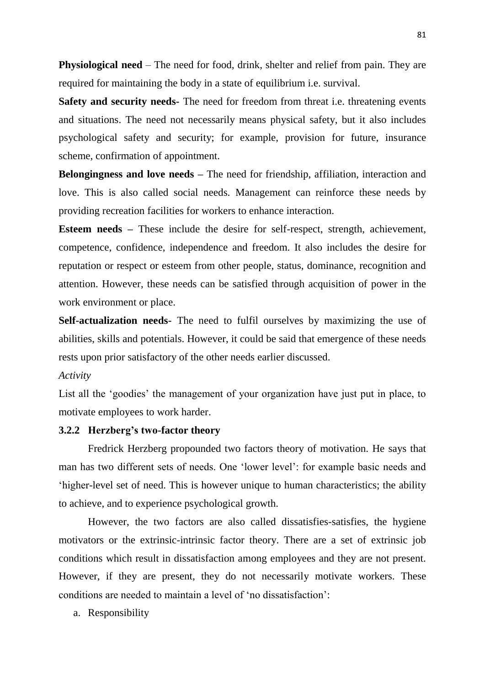**Physiological need** – The need for food, drink, shelter and relief from pain. They are required for maintaining the body in a state of equilibrium i.e. survival.

**Safety and security needs-** The need for freedom from threat i.e. threatening events and situations. The need not necessarily means physical safety, but it also includes psychological safety and security; for example, provision for future, insurance scheme, confirmation of appointment.

**Belongingness and love needs –** The need for friendship, affiliation, interaction and love. This is also called social needs. Management can reinforce these needs by providing recreation facilities for workers to enhance interaction.

**Esteem needs –** These include the desire for self-respect, strength, achievement, competence, confidence, independence and freedom. It also includes the desire for reputation or respect or esteem from other people, status, dominance, recognition and attention. However, these needs can be satisfied through acquisition of power in the work environment or place.

**Self-actualization needs-** The need to fulfil ourselves by maximizing the use of abilities, skills and potentials. However, it could be said that emergence of these needs rests upon prior satisfactory of the other needs earlier discussed.

*Activity*

List all the 'goodies' the management of your organization have just put in place, to motivate employees to work harder.

### **3.2.2 Herzberg's two-factor theory**

Fredrick Herzberg propounded two factors theory of motivation. He says that man has two different sets of needs. One "lower level": for example basic needs and "higher-level set of need. This is however unique to human characteristics; the ability to achieve, and to experience psychological growth.

However, the two factors are also called dissatisfies-satisfies, the hygiene motivators or the extrinsic-intrinsic factor theory. There are a set of extrinsic job conditions which result in dissatisfaction among employees and they are not present. However, if they are present, they do not necessarily motivate workers. These conditions are needed to maintain a level of "no dissatisfaction":

a. Responsibility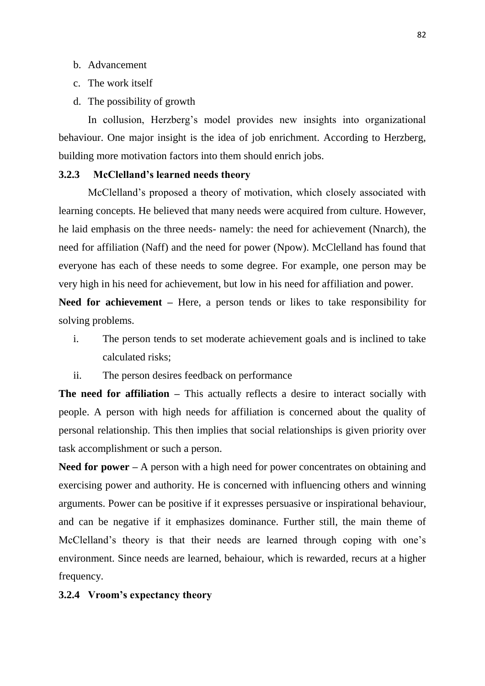- b. Advancement
- c. The work itself
- d. The possibility of growth

In collusion, Herzberg's model provides new insights into organizational behaviour. One major insight is the idea of job enrichment. According to Herzberg, building more motivation factors into them should enrich jobs.

# **3.2.3 McClelland's learned needs theory**

McClelland"s proposed a theory of motivation, which closely associated with learning concepts. He believed that many needs were acquired from culture. However, he laid emphasis on the three needs- namely: the need for achievement (Nnarch), the need for affiliation (Naff) and the need for power (Npow). McClelland has found that everyone has each of these needs to some degree. For example, one person may be very high in his need for achievement, but low in his need for affiliation and power.

**Need for achievement –** Here, a person tends or likes to take responsibility for solving problems.

- i. The person tends to set moderate achievement goals and is inclined to take calculated risks;
- ii. The person desires feedback on performance

**The need for affiliation –** This actually reflects a desire to interact socially with people. A person with high needs for affiliation is concerned about the quality of personal relationship. This then implies that social relationships is given priority over task accomplishment or such a person.

**Need for power –** A person with a high need for power concentrates on obtaining and exercising power and authority. He is concerned with influencing others and winning arguments. Power can be positive if it expresses persuasive or inspirational behaviour, and can be negative if it emphasizes dominance. Further still, the main theme of McClelland's theory is that their needs are learned through coping with one's environment. Since needs are learned, behaiour, which is rewarded, recurs at a higher frequency.

## **3.2.4 Vroom's expectancy theory**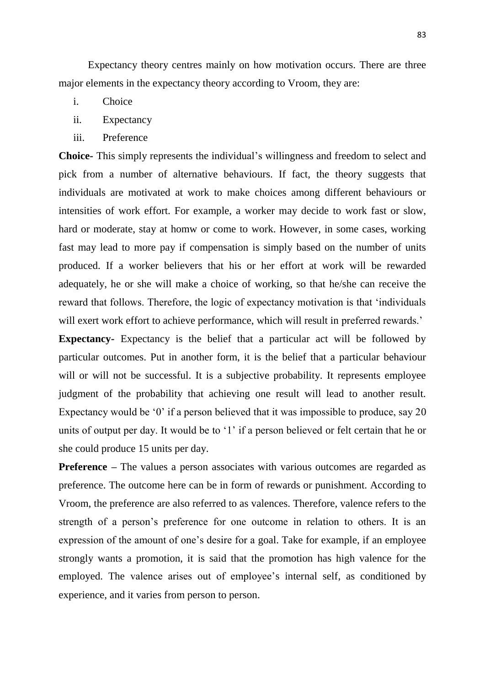Expectancy theory centres mainly on how motivation occurs. There are three major elements in the expectancy theory according to Vroom, they are:

- i. Choice
- ii. Expectancy
- iii. Preference

**Choice-** This simply represents the individual"s willingness and freedom to select and pick from a number of alternative behaviours. If fact, the theory suggests that individuals are motivated at work to make choices among different behaviours or intensities of work effort. For example, a worker may decide to work fast or slow, hard or moderate, stay at homw or come to work. However, in some cases, working fast may lead to more pay if compensation is simply based on the number of units produced. If a worker believers that his or her effort at work will be rewarded adequately, he or she will make a choice of working, so that he/she can receive the reward that follows. Therefore, the logic of expectancy motivation is that "individuals will exert work effort to achieve performance, which will result in preferred rewards.'

**Expectancy-** Expectancy is the belief that a particular act will be followed by particular outcomes. Put in another form, it is the belief that a particular behaviour will or will not be successful. It is a subjective probability. It represents employee judgment of the probability that achieving one result will lead to another result. Expectancy would be '0' if a person believed that it was impossible to produce, say 20 units of output per day. It would be to '1' if a person believed or felt certain that he or she could produce 15 units per day.

**Preference** – The values a person associates with various outcomes are regarded as preference. The outcome here can be in form of rewards or punishment. According to Vroom, the preference are also referred to as valences. Therefore, valence refers to the strength of a person's preference for one outcome in relation to others. It is an expression of the amount of one"s desire for a goal. Take for example, if an employee strongly wants a promotion, it is said that the promotion has high valence for the employed. The valence arises out of employee's internal self, as conditioned by experience, and it varies from person to person.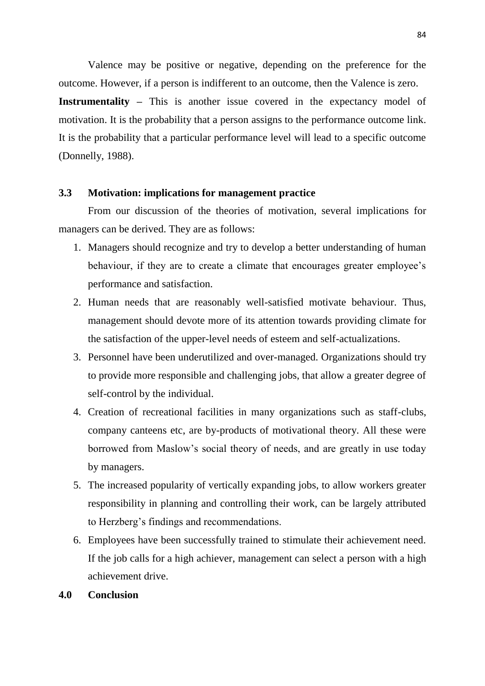Valence may be positive or negative, depending on the preference for the outcome. However, if a person is indifferent to an outcome, then the Valence is zero.

**Instrumentality** – This is another issue covered in the expectancy model of motivation. It is the probability that a person assigns to the performance outcome link. It is the probability that a particular performance level will lead to a specific outcome (Donnelly, 1988).

# **3.3 Motivation: implications for management practice**

From our discussion of the theories of motivation, several implications for managers can be derived. They are as follows:

- 1. Managers should recognize and try to develop a better understanding of human behaviour, if they are to create a climate that encourages greater employee's performance and satisfaction.
- 2. Human needs that are reasonably well-satisfied motivate behaviour. Thus, management should devote more of its attention towards providing climate for the satisfaction of the upper-level needs of esteem and self-actualizations.
- 3. Personnel have been underutilized and over-managed. Organizations should try to provide more responsible and challenging jobs, that allow a greater degree of self-control by the individual.
- 4. Creation of recreational facilities in many organizations such as staff-clubs, company canteens etc, are by-products of motivational theory. All these were borrowed from Maslow"s social theory of needs, and are greatly in use today by managers.
- 5. The increased popularity of vertically expanding jobs, to allow workers greater responsibility in planning and controlling their work, can be largely attributed to Herzberg"s findings and recommendations.
- 6. Employees have been successfully trained to stimulate their achievement need. If the job calls for a high achiever, management can select a person with a high achievement drive.

#### **4.0 Conclusion**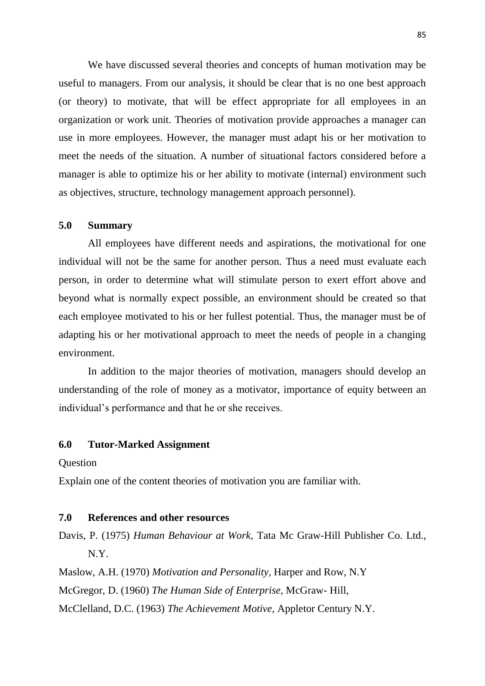We have discussed several theories and concepts of human motivation may be useful to managers. From our analysis, it should be clear that is no one best approach (or theory) to motivate, that will be effect appropriate for all employees in an organization or work unit. Theories of motivation provide approaches a manager can use in more employees. However, the manager must adapt his or her motivation to meet the needs of the situation. A number of situational factors considered before a manager is able to optimize his or her ability to motivate (internal) environment such as objectives, structure, technology management approach personnel).

#### **5.0 Summary**

All employees have different needs and aspirations, the motivational for one individual will not be the same for another person. Thus a need must evaluate each person, in order to determine what will stimulate person to exert effort above and beyond what is normally expect possible, an environment should be created so that each employee motivated to his or her fullest potential. Thus, the manager must be of adapting his or her motivational approach to meet the needs of people in a changing environment.

In addition to the major theories of motivation, managers should develop an understanding of the role of money as a motivator, importance of equity between an individual"s performance and that he or she receives.

### **6.0 Tutor-Marked Assignment**

**Ouestion** 

Explain one of the content theories of motivation you are familiar with.

### **7.0 References and other resources**

Davis, P. (1975) *Human Behaviour at Work,* Tata Mc Graw-Hill Publisher Co. Ltd., N.Y.

Maslow, A.H. (1970) *Motivation and Personality,* Harper and Row, N.Y

McGregor, D. (1960) *The Human Side of Enterprise,* McGraw- Hill,

McClelland, D.C. (1963) *The Achievement Motive,* Appletor Century N.Y.